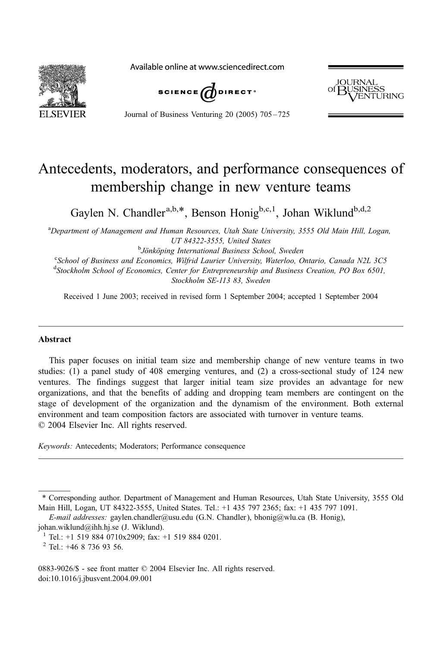

Available online at www.sciencedirect.com





Journal of Business Venturing 20 (2005) 705 – 725

# Antecedents, moderators, and performance consequences of membership change in new venture teams

Gaylen N. Chandler<sup>a,b,\*</sup>, Benson Honig<sup>b,c,1</sup>, Johan Wiklund<sup>b,d,2</sup>

<sup>a</sup>Department of Management and Human Resources, Utah State University, 3555 Old Main Hill, Logan,  $UT 84322$ -3555, United States<br><sup>b</sup> Fönköning International Business Schoo

Dönköping International Business School, Sweden"<br>School of Business and Economies Wilfrid Lawier University Waterloo C

<sup>c</sup>School of Business and Economics, Wilfrid Laurier University, Waterloo, Ontario, Canada N2L 3C5 <sup>d</sup>Stockholm School of Economics, Center for Entrepreneurship and Business Creation, PO Box 6501, Stockholm SE-113 83, Sweden

Received 1 June 2003; received in revised form 1 September 2004; accepted 1 September 2004

## Abstract

This paper focuses on initial team size and membership change of new venture teams in two studies: (1) a panel study of 408 emerging ventures, and (2) a cross-sectional study of 124 new ventures. The findings suggest that larger initial team size provides an advantage for new organizations, and that the benefits of adding and dropping team members are contingent on the stage of development of the organization and the dynamism of the environment. Both external environment and team composition factors are associated with turnover in venture teams.  $\odot$  2004 Elsevier Inc. All rights reserved.

Keywords: Antecedents; Moderators; Performance consequence

<sup>\*</sup> Corresponding author. Department of Management and Human Resources, Utah State University, 3555 Old Main Hill, Logan, UT 84322-3555, United States. Tel.: +1 435 797 2365; fax: +1 435 797 1091.

E-mail addresses: gaylen.chandler@usu.edu (G.N. Chandler), bhonig@wlu.ca (B. Honig),

johan.wiklund@ihh.hj.se (J. Wiklund).

 $1$  Tel.: +1 519 884 0710x2909; fax: +1 519 884 0201.

 $2$  Tel.: +46 8 736 93 56.

<sup>0883-9026/\$ -</sup> see front matter © 2004 Elsevier Inc. All rights reserved. doi:10.1016/j.jbusvent.2004.09.001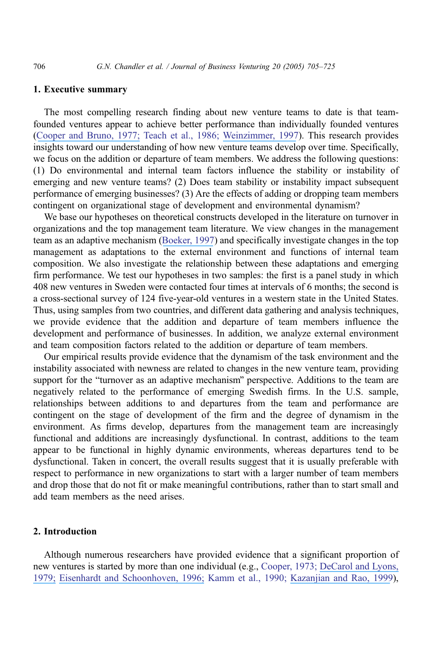#### 1. Executive summary

The most compelling research finding about new venture teams to date is that teamfounded ventures appear to achieve better performance than individually founded ventures ([C](#page-19-0)[ooper and Bruno, 1977;](https://www.researchgate.net/publication/4881712_Success_Among_High-Technology_Firms?el=1_x_8&enrichId=rgreq-8e58a7085e5716c1990a65ef208fcaad-XXX&enrichSource=Y292ZXJQYWdlOzIyMjUzODczMztBUzoxMDUwMTc4OTc5MTQzNzFAMTQwMjA0OTYyNjUxMQ==) [Teach et al., 1986;](#page-19-0) [Weinzimmer, 199](https://www.researchgate.net/publication/288348950_Top_management_team_correlates_of_organizational_growth_in_a_small_business_context_A_comparative_study?el=1_x_8&enrichId=rgreq-8e58a7085e5716c1990a65ef208fcaad-XXX&enrichSource=Y292ZXJQYWdlOzIyMjUzODczMztBUzoxMDUwMTc4OTc5MTQzNzFAMTQwMjA0OTYyNjUxMQ==)[7\)](#page-19-0). This research provides insights toward our understanding of how new venture teams develop over time. Specifically, we focus on the addition or departure of team members. We address the following questions: (1) Do environmental and internal team factors influence the stability or instability of emerging and new venture teams? (2) Does team stability or instability impact subsequent performance of emerging businesses? (3) Are the effects of adding or dropping team members contingent on organizational stage of development and environmental dynamism?

We base our hypotheses on theoretical constructs developed in the literature on turnover in organizations and the top management team literature. We view changes in the management team as an adaptive mechanism ([Boeker,](#page-18-0)[1997\)](#page-18-0) and specifically investigate changes in the top management as adaptations to the external environment and functions of internal team composition. We also investigate the relationship between these adaptations and emerging firm performance. We test our hypotheses in two samples: the first is a panel study in which 408 new ventures in Sweden were contacted four times at intervals of 6 months; the second is a cross-sectional survey of 124 five-year-old ventures in a western state in the United States. Thus, using samples from two countries, and different data gathering and analysis techniques, we provide evidence that the addition and departure of team members influence the development and performance of businesses. In addition, we analyze external environment and team composition factors related to the addition or departure of team members.

Our empirical results provide evidence that the dynamism of the task environment and the instability associated with newness are related to changes in the new venture team, providing support for the "turnover as an adaptive mechanism" perspective. Additions to the team are negatively related to the performance of emerging Swedish firms. In the U.S. sample, relationships between additions to and departures from the team and performance are contingent on the stage of development of the firm and the degree of dynamism in the environment. As firms develop, departures from the management team are increasingly functional and additions are increasingly dysfunctional. In contrast, additions to the team appear to be functional in highly dynamic environments, whereas departures tend to be dysfunctional. Taken in concert, the overall results suggest that it is usually preferable with respect to performance in new organizations to start with a larger number of team members and drop those that do not fit or make meaningful contributions, rather than to start small and add team members as the need arises.

# 2. Introduction

Although numerous researchers have provided evidence that a significant proportion of new ventures is started by more than one individual (e.g., [Cooper, 1973; DeCarol and Lyons,](#page-19-0) [1979;](https://www.researchgate.net/publication/244954143_A_Comparison_of_Selected_Personal_Characteristics_of_Minority_and_Non-Minority_Female_Entrepreneurs?el=1_x_8&enrichId=rgreq-8e58a7085e5716c1990a65ef208fcaad-XXX&enrichSource=Y292ZXJQYWdlOzIyMjUzODczMztBUzoxMDUwMTc4OTc5MTQzNzFAMTQwMjA0OTYyNjUxMQ==) [Eisenhardt and Schoonhoven, 1996;](https://www.researchgate.net/publication/280800935_Resource-based_View_of_Strategic_Alliance_Formation_Strategic_and_Social_Effects_in_Entrepreneurial_Firms?el=1_x_8&enrichId=rgreq-8e58a7085e5716c1990a65ef208fcaad-XXX&enrichSource=Y292ZXJQYWdlOzIyMjUzODczMztBUzoxMDUwMTc4OTc5MTQzNzFAMTQwMjA0OTYyNjUxMQ==) Kamm et al., 1990; [Kazanjian and Rao, 1999](https://www.researchgate.net/publication/247734286_Research_Note_The_Creation_of_Capabilities_in_New_Ventures--A_Longitudinal_Study?el=1_x_8&enrichId=rgreq-8e58a7085e5716c1990a65ef208fcaad-XXX&enrichSource=Y292ZXJQYWdlOzIyMjUzODczMztBUzoxMDUwMTc4OTc5MTQzNzFAMTQwMjA0OTYyNjUxMQ==)),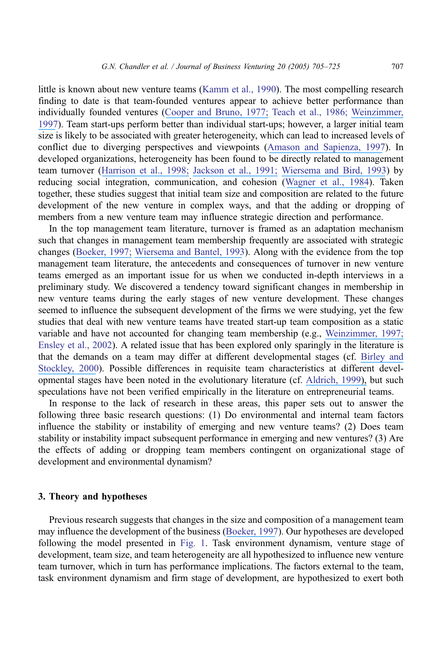little is known about new venture teams ([Kamm et al., 1990\)](#page-19-0). The most compelling research finding to date is that team-founded ventures appear to achieve better performance than individually founded ventures ([C](#page-19-0)[ooper and Bruno, 1977;](https://www.researchgate.net/publication/4881712_Success_Among_High-Technology_Firms?el=1_x_8&enrichId=rgreq-8e58a7085e5716c1990a65ef208fcaad-XXX&enrichSource=Y292ZXJQYWdlOzIyMjUzODczMztBUzoxMDUwMTc4OTc5MTQzNzFAMTQwMjA0OTYyNjUxMQ==) [Teach et al., 1986;](#page-19-0) [Weinzimmer,](https://www.researchgate.net/publication/288348950_Top_management_team_correlates_of_organizational_growth_in_a_small_business_context_A_comparative_study?el=1_x_8&enrichId=rgreq-8e58a7085e5716c1990a65ef208fcaad-XXX&enrichSource=Y292ZXJQYWdlOzIyMjUzODczMztBUzoxMDUwMTc4OTc5MTQzNzFAMTQwMjA0OTYyNjUxMQ==) [1997](https://www.researchgate.net/publication/288348950_Top_management_team_correlates_of_organizational_growth_in_a_small_business_context_A_comparative_study?el=1_x_8&enrichId=rgreq-8e58a7085e5716c1990a65ef208fcaad-XXX&enrichSource=Y292ZXJQYWdlOzIyMjUzODczMztBUzoxMDUwMTc4OTc5MTQzNzFAMTQwMjA0OTYyNjUxMQ==)). Team start-ups perform better than individual start-ups; however, a larger initial team size is likely to be associated with greater heterogeneity, which can lead to increased levels of conflict due to diverging perspectives and viewpoints ([A](#page-18-0)[mason and Sapienza, 199](https://www.researchgate.net/publication/254121100_The_Effects_of_Top_Management_Team_Size_and_Interaction_Norms_on_Cognitive_and_Affective_Conflict?el=1_x_8&enrichId=rgreq-8e58a7085e5716c1990a65ef208fcaad-XXX&enrichSource=Y292ZXJQYWdlOzIyMjUzODczMztBUzoxMDUwMTc4OTc5MTQzNzFAMTQwMjA0OTYyNjUxMQ==)[7\)](#page-18-0). In developed organizations, heterogeneity has been found to be directly related to management team turnover ([H](#page-19-0)[arrison et al., 1998;](https://www.researchgate.net/publication/275714274_Beyond_relational_demography_Time_and_the_effects_of_surface-_and_deep-level_diversity_on_work_group_cohesion?el=1_x_8&enrichId=rgreq-8e58a7085e5716c1990a65ef208fcaad-XXX&enrichSource=Y292ZXJQYWdlOzIyMjUzODczMztBUzoxMDUwMTc4OTc5MTQzNzFAMTQwMjA0OTYyNjUxMQ==) [Jackson et al., 1991;](https://www.researchgate.net/publication/232477749_Some_Differences_Make_a_Difference_Individual_Dissimilarity_and_Group_Heterogeneity_as_Correlates_of_Recruitment_Promotions_and_Turnover?el=1_x_8&enrichId=rgreq-8e58a7085e5716c1990a65ef208fcaad-XXX&enrichSource=Y292ZXJQYWdlOzIyMjUzODczMztBUzoxMDUwMTc4OTc5MTQzNzFAMTQwMjA0OTYyNjUxMQ==) [Wiersema and Bird, 199](https://www.researchgate.net/publication/270135113_)[3\)](#page-19-0) by reducing social integration, communication, and cohesion ([W](#page-20-0)[agner et al., 198](https://www.researchgate.net/publication/270390339_Organizational_Demography_and_Turnover_in_Top-Management_Group?el=1_x_8&enrichId=rgreq-8e58a7085e5716c1990a65ef208fcaad-XXX&enrichSource=Y292ZXJQYWdlOzIyMjUzODczMztBUzoxMDUwMTc4OTc5MTQzNzFAMTQwMjA0OTYyNjUxMQ==)[4\)](#page-20-0). Taken together, these studies suggest that initial team size and composition are related to the future development of the new venture in complex ways, and that the adding or dropping of members from a new venture team may influence strategic direction and performance.

In the top management team literature, turnover is framed as an adaptation mechanism such that changes in management team membership frequently are associated with strategic changes ([B](#page-18-0)[oeker, 1997;](https://www.researchgate.net/publication/271761028_Executive_Migration_and_Strategic_Change_The_Effect_of_Top_Manager_Movement_on_Product-Market_Entry?el=1_x_8&enrichId=rgreq-8e58a7085e5716c1990a65ef208fcaad-XXX&enrichSource=Y292ZXJQYWdlOzIyMjUzODczMztBUzoxMDUwMTc4OTc5MTQzNzFAMTQwMjA0OTYyNjUxMQ==) [Wiersema and Bantel, 199](https://www.researchgate.net/publication/227770331_Top_Management_Team_Turnover_As_an_Adaptation_Mechanism_The_Role_of_the_Environment?el=1_x_8&enrichId=rgreq-8e58a7085e5716c1990a65ef208fcaad-XXX&enrichSource=Y292ZXJQYWdlOzIyMjUzODczMztBUzoxMDUwMTc4OTc5MTQzNzFAMTQwMjA0OTYyNjUxMQ==)[3\)](#page-18-0). Along with the evidence from the top management team literature, the antecedents and consequences of turnover in new venture teams emerged as an important issue for us when we conducted in-depth interviews in a preliminary study. We discovered a tendency toward significant changes in membership in new venture teams during the early stages of new venture development. These changes seemed to influence the subsequent development of the firms we were studying, yet the few studies that deal with new venture teams have treated start-up team composition as a static variable and have not accounted for changing team membership (e.g., [Weinzimmer,](https://www.researchgate.net/publication/288348950_Top_management_team_correlates_of_organizational_growth_in_a_small_business_context_A_comparative_study?el=1_x_8&enrichId=rgreq-8e58a7085e5716c1990a65ef208fcaad-XXX&enrichSource=Y292ZXJQYWdlOzIyMjUzODczMztBUzoxMDUwMTc4OTc5MTQzNzFAMTQwMjA0OTYyNjUxMQ==)[1997;](https://www.researchgate.net/publication/288348950_Top_management_team_correlates_of_organizational_growth_in_a_small_business_context_A_comparative_study?el=1_x_8&enrichId=rgreq-8e58a7085e5716c1990a65ef208fcaad-XXX&enrichSource=Y292ZXJQYWdlOzIyMjUzODczMztBUzoxMDUwMTc4OTc5MTQzNzFAMTQwMjA0OTYyNjUxMQ==) Ensley et al., 2002). A related issue that has been explored only sparingly in the literature is that the demands on a team may differ at different developmental stages (cf. [Birley](https://www.researchgate.net/publication/270820316_Entrepreneurial_teams_and_venture_growth?el=1_x_8&enrichId=rgreq-8e58a7085e5716c1990a65ef208fcaad-XXX&enrichSource=Y292ZXJQYWdlOzIyMjUzODczMztBUzoxMDUwMTc4OTc5MTQzNzFAMTQwMjA0OTYyNjUxMQ==)[and](https://www.researchgate.net/publication/270820316_Entrepreneurial_teams_and_venture_growth?el=1_x_8&enrichId=rgreq-8e58a7085e5716c1990a65ef208fcaad-XXX&enrichSource=Y292ZXJQYWdlOzIyMjUzODczMztBUzoxMDUwMTc4OTc5MTQzNzFAMTQwMjA0OTYyNjUxMQ==) [Stockley, 2000](https://www.researchgate.net/publication/270820316_Entrepreneurial_teams_and_venture_growth?el=1_x_8&enrichId=rgreq-8e58a7085e5716c1990a65ef208fcaad-XXX&enrichSource=Y292ZXJQYWdlOzIyMjUzODczMztBUzoxMDUwMTc4OTc5MTQzNzFAMTQwMjA0OTYyNjUxMQ==)). Possible differences in requisite team characteristics at different developmental stages have been noted in the evolutionary literature (cf. [Aldrich,](https://www.researchgate.net/publication/245024168_Organizations_Evolving?el=1_x_8&enrichId=rgreq-8e58a7085e5716c1990a65ef208fcaad-XXX&enrichSource=Y292ZXJQYWdlOzIyMjUzODczMztBUzoxMDUwMTc4OTc5MTQzNzFAMTQwMjA0OTYyNjUxMQ==)[1999\),](https://www.researchgate.net/publication/245024168_Organizations_Evolving?el=1_x_8&enrichId=rgreq-8e58a7085e5716c1990a65ef208fcaad-XXX&enrichSource=Y292ZXJQYWdlOzIyMjUzODczMztBUzoxMDUwMTc4OTc5MTQzNzFAMTQwMjA0OTYyNjUxMQ==) but such speculations have not been verified empirically in the literature on entrepreneurial teams.

In response to the lack of research in these areas, this paper sets out to answer the following three basic research questions: (1) Do environmental and internal team factors influence the stability or instability of emerging and new venture teams? (2) Does team stability or instability impact subsequent performance in emerging and new ventures? (3) Are the effects of adding or dropping team members contingent on organizational stage of development and environmental dynamism?

#### 3. Theory and hypotheses

Previous research suggests that changes in the size and composition of a management team may influence the development of the business ([Boeker, 1997\)](#page-18-0). Our hypotheses are developed following the model presented in [Fig. 1.](#page-3-0) Task environment dynamism, venture stage of development, team size, and team heterogeneity are all hypothesized to influence new venture team turnover, which in turn has performance implications. The factors external to the team, task environment dynamism and firm stage of development, are hypothesized to exert both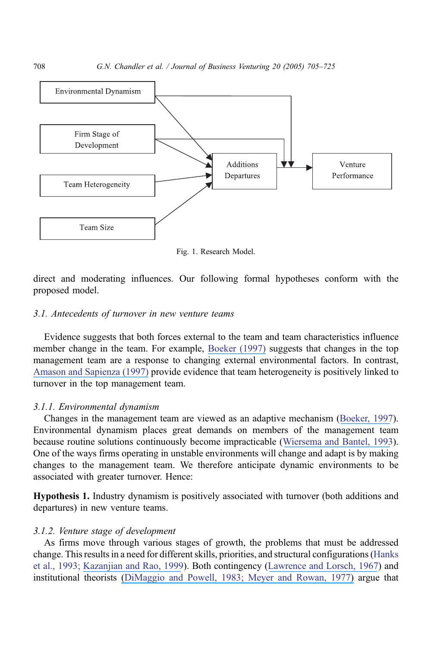

Fig. 1. Research Model.

direct and moderating influences. Our following formal hypotheses conform with the proposed model.

#### 3.1. Antecedents of turnover in new venture teams

Evidence suggests that both forces external to the team and team characteristics influence member change in the team. For example, [B](https://www.researchgate.net/publication/271761028_Executive_Migration_and_Strategic_Change_The_Effect_of_Top_Manager_Movement_on_Product-Market_Entry?el=1_x_8&enrichId=rgreq-8e58a7085e5716c1990a65ef208fcaad-XXX&enrichSource=Y292ZXJQYWdlOzIyMjUzODczMztBUzoxMDUwMTc4OTc5MTQzNzFAMTQwMjA0OTYyNjUxMQ==)[oeker \(1997\)](#page-18-0) suggests that changes in the top management team are a response to changing external environmental factors. In contrast, [Amason and Sapienza \(1997\)](#page-18-0) provide evidence that team heterogeneity is positively linked to turnover in the top management team.

## 3.1.1. Environmental dynamism

Changes in the management team are viewed as an adaptive mechanism ([Boeker, 1997\)](#page-18-0). Environmental dynamism places great demands on members of the management team because routine solutions continuously become impracticable ([Wiersema and Bantel, 1993\)](#page-20-0). One of the ways firms operating in unstable environments will change and adapt is by making changes to the management team. We therefore anticipate dynamic environments to be associated with greater turnover. Hence:

Hypothesis 1. Industry dynamism is positively associated with turnover (both additions and departures) in new venture teams.

## 3.1.2. Venture stage of development

As firms move through various stages of growth, the problems that must be addressed change. This results in a need for different skills, priorities, and structural configurations ([Hanks](#page-19-0) et al., 1993; [Kazanjian and Rao, 1999](https://www.researchgate.net/publication/247734286_Research_Note_The_Creation_of_Capabilities_in_New_Ventures--A_Longitudinal_Study?el=1_x_8&enrichId=rgreq-8e58a7085e5716c1990a65ef208fcaad-XXX&enrichSource=Y292ZXJQYWdlOzIyMjUzODczMztBUzoxMDUwMTc4OTc5MTQzNzFAMTQwMjA0OTYyNjUxMQ==)). Both contingency ([Lawrence and Lorsch, 1967\)](#page-19-0) and institutional theorists [\(](https://www.researchgate.net/publication/256004029_Institutionalized_Organizations_Formal_Structure_as_Myth_and_Ceremony?el=1_x_8&enrichId=rgreq-8e58a7085e5716c1990a65ef208fcaad-XXX&enrichSource=Y292ZXJQYWdlOzIyMjUzODczMztBUzoxMDUwMTc4OTc5MTQzNzFAMTQwMjA0OTYyNjUxMQ==)[DiMaggio and Powell, 1983; Meyer and Rowan, 1977](#page-19-0)[\)](https://www.researchgate.net/publication/256004029_Institutionalized_Organizations_Formal_Structure_as_Myth_and_Ceremony?el=1_x_8&enrichId=rgreq-8e58a7085e5716c1990a65ef208fcaad-XXX&enrichSource=Y292ZXJQYWdlOzIyMjUzODczMztBUzoxMDUwMTc4OTc5MTQzNzFAMTQwMjA0OTYyNjUxMQ==) argue that

<span id="page-3-0"></span>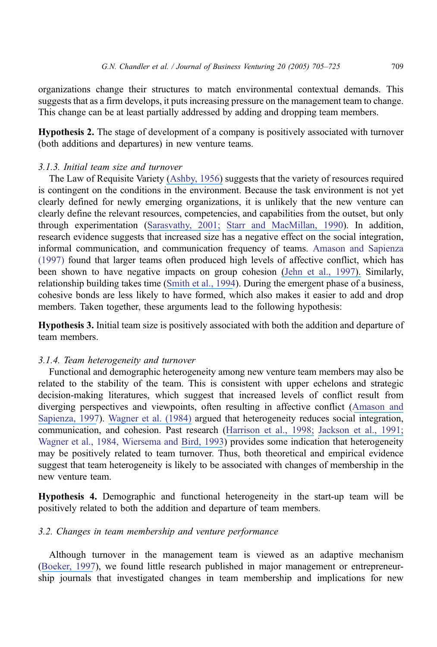organizations change their structures to match environmental contextual demands. This suggests that as a firm develops, it puts increasing pressure on the management team to change. This change can be at least partially addressed by adding and dropping team members.

Hypothesis 2. The stage of development of a company is positively associated with turnover (both additions and departures) in new venture teams.

## 3.1.3. Initial team size and turnover

The Law of Requisite Variety [\(Ashby, 1956\)](https://www.researchgate.net/publication/224982280_An_Introduction_to_Cybernetic?el=1_x_8&enrichId=rgreq-8e58a7085e5716c1990a65ef208fcaad-XXX&enrichSource=Y292ZXJQYWdlOzIyMjUzODczMztBUzoxMDUwMTc4OTc5MTQzNzFAMTQwMjA0OTYyNjUxMQ==) suggests that the variety of resources required is contingent on the conditions in the environment. Because the task environment is not yet clearly defined for newly emerging organizations, it is unlikely that the new venture can clearly define the relevant resources, competencies, and capabilities from the outset, but only through experimentation ([Sarasvathy, 2001](https://www.researchgate.net/publication/228264546_Causation_and_Effectuation_Toward_A_Theoretical_Shift_from_Economic_Inevitability_to_Entrepreneurial_Contingency?el=1_x_8&enrichId=rgreq-8e58a7085e5716c1990a65ef208fcaad-XXX&enrichSource=Y292ZXJQYWdlOzIyMjUzODczMztBUzoxMDUwMTc4OTc5MTQzNzFAMTQwMjA0OTYyNjUxMQ==)[;](#page-20-0) [Starr and MacMillan, 199](https://www.researchgate.net/publication/228120962_Resource_Cooptation_Via_Social_Contracting_Resource_Acquisition_Strategies_for_New_Ventures?el=1_x_8&enrichId=rgreq-8e58a7085e5716c1990a65ef208fcaad-XXX&enrichSource=Y292ZXJQYWdlOzIyMjUzODczMztBUzoxMDUwMTc4OTc5MTQzNzFAMTQwMjA0OTYyNjUxMQ==)[0\)](#page-20-0). In addition, research evidence suggests that increased size has a negative effect on the social integration, informal communication, and communication frequency of teams. [Amason and Sapienza](#page-18-0) (1997) found that larger teams often produced high levels of affective conflict, which has been shown to have negative impacts on group cohesion [\(Jehn et al., 1997\).](https://www.researchgate.net/publication/235299732_To_agree_or_not_to_agree_The_effects_of_value_congruence_individual_demographic_dissimilarity_and_conflict_on_workgroup_outcomes?el=1_x_8&enrichId=rgreq-8e58a7085e5716c1990a65ef208fcaad-XXX&enrichSource=Y292ZXJQYWdlOzIyMjUzODczMztBUzoxMDUwMTc4OTc5MTQzNzFAMTQwMjA0OTYyNjUxMQ==) Similarly, relationship building takes time ([S](#page-20-0)[mith et al., 199](https://www.researchgate.net/publication/228197702_Top_Management_Team_Demography_and_Process_The_Role_of_Social_Integration_and_Communication?el=1_x_8&enrichId=rgreq-8e58a7085e5716c1990a65ef208fcaad-XXX&enrichSource=Y292ZXJQYWdlOzIyMjUzODczMztBUzoxMDUwMTc4OTc5MTQzNzFAMTQwMjA0OTYyNjUxMQ==)[4\)](#page-20-0). During the emergent phase of a business, cohesive bonds are less likely to have formed, which also makes it easier to add and drop members. Taken together, these arguments lead to the following hypothesis:

Hypothesis 3. Initial team size is positively associated with both the addition and departure of team members.

# 3.1.4. Team heterogeneity and turnover

Functional and demographic heterogeneity among new venture team members may also be related to the stability of the team. This is consistent with upper echelons and strategic decision-making literatures, which suggest that increased levels of conflict result from diverging perspectives and viewpoints, often resulting in affective conflict ([A](#page-18-0)[mason](https://www.researchgate.net/publication/254121100_The_Effects_of_Top_Management_Team_Size_and_Interaction_Norms_on_Cognitive_and_Affective_Conflict?el=1_x_8&enrichId=rgreq-8e58a7085e5716c1990a65ef208fcaad-XXX&enrichSource=Y292ZXJQYWdlOzIyMjUzODczMztBUzoxMDUwMTc4OTc5MTQzNzFAMTQwMjA0OTYyNjUxMQ==)[and](https://www.researchgate.net/publication/254121100_The_Effects_of_Top_Management_Team_Size_and_Interaction_Norms_on_Cognitive_and_Affective_Conflict?el=1_x_8&enrichId=rgreq-8e58a7085e5716c1990a65ef208fcaad-XXX&enrichSource=Y292ZXJQYWdlOzIyMjUzODczMztBUzoxMDUwMTc4OTc5MTQzNzFAMTQwMjA0OTYyNjUxMQ==) [Sapienza, 1997](https://www.researchgate.net/publication/254121100_The_Effects_of_Top_Management_Team_Size_and_Interaction_Norms_on_Cognitive_and_Affective_Conflict?el=1_x_8&enrichId=rgreq-8e58a7085e5716c1990a65ef208fcaad-XXX&enrichSource=Y292ZXJQYWdlOzIyMjUzODczMztBUzoxMDUwMTc4OTc5MTQzNzFAMTQwMjA0OTYyNjUxMQ==)). [W](https://www.researchgate.net/publication/270390339_Organizational_Demography_and_Turnover_in_Top-Management_Group?el=1_x_8&enrichId=rgreq-8e58a7085e5716c1990a65ef208fcaad-XXX&enrichSource=Y292ZXJQYWdlOzIyMjUzODczMztBUzoxMDUwMTc4OTc5MTQzNzFAMTQwMjA0OTYyNjUxMQ==)[agner et al. \(1984\)](#page-20-0) argued that heterogeneity reduces social integration, communication, and cohesion. Past research ([Harrison et al., 1998; Jackson et al., 1991;](#page-19-0) Wagner et al., 1984, Wiersema and [Bird, 1993](https://www.researchgate.net/publication/270135113_)) provides some indication that heterogeneity may be positively related to team turnover. Thus, both theoretical and empirical evidence suggest that team heterogeneity is likely to be associated with changes of membership in the new venture team.

Hypothesis 4. Demographic and functional heterogeneity in the start-up team will be positively related to both the addition and departure of team members.

## 3.2. Changes in team membership and venture performance

Although turnover in the management team is viewed as an adaptive mechanism [\(Boeker, 1997\)](#page-18-0), we found little research published in major management or entrepreneurship journals that investigated changes in team membership and implications for new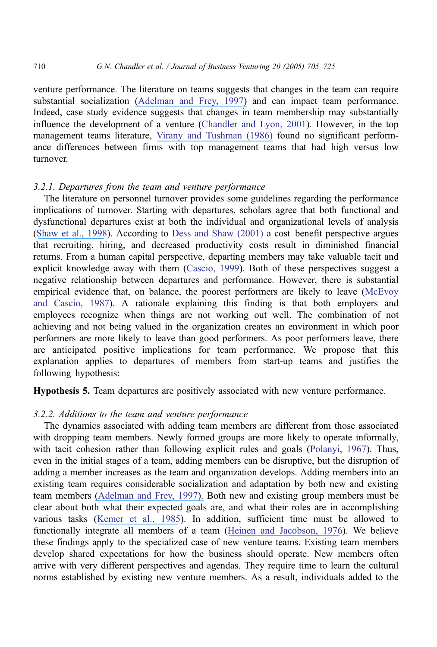venture performance. The literature on teams suggests that changes in the team can require substantial socialization [\(Adelman and Frey, 1997\)](https://www.researchgate.net/publication/232824874_The_Fragile_Community_Living_Together_With_AIDS_Book?el=1_x_8&enrichId=rgreq-8e58a7085e5716c1990a65ef208fcaad-XXX&enrichSource=Y292ZXJQYWdlOzIyMjUzODczMztBUzoxMDUwMTc4OTc5MTQzNzFAMTQwMjA0OTYyNjUxMQ==) and can impact team performance. Indeed, case study evidence suggests that changes in team membership may substantially influence the development of a venture ([Chandler and Lyon, 2001\)](#page-19-0). However, in the top management teams literature, [Virany and Tushman \(1986\)](https://www.researchgate.net/publication/223472089_Top_Management_Teams_and_Corporate_Success_in_an_Emerging_Industry?el=1_x_8&enrichId=rgreq-8e58a7085e5716c1990a65ef208fcaad-XXX&enrichSource=Y292ZXJQYWdlOzIyMjUzODczMztBUzoxMDUwMTc4OTc5MTQzNzFAMTQwMjA0OTYyNjUxMQ==) found no significant performance differences between firms with top management teams that had high versus low turnover.

# 3.2.1. Departures from the team and venture performance

The literature on personnel turnover provides some guidelines regarding the performance implications of turnover. Starting with departures, scholars agree that both functional and dysfunctional departures exist at both the individual and organizational levels of analysis ([Shaw](#page-20-0)[et](#page-20-0)[al.,](#page-20-0)[1998\)](#page-20-0). According to [Dess and Shaw \(2001\)](#page-19-0) a cost–benefit perspective argues that recruiting, hiring, and decreased productivity costs result in diminished financial returns. From a human capital perspective, departing members may take valuable tacit and explicit knowledge away with them ([Cascio, 1999\)](#page-18-0). Both of these perspectives suggest a negative relationship between departures and performance. However, there is substantial empirical evidence that, on balance, the poorest performers are likely to leave ([McEvoy](#page-19-0) and Cascio, 1987). A rationale explaining this finding is that both employers and employees recognize when things are not working out well. The combination of not achieving and not being valued in the organization creates an environment in which poor performers are more likely to leave than good performers. As poor performers leave, there are anticipated positive implications for team performance. We propose that this explanation applies to departures of members from start-up teams and justifies the following hypothesis:

Hypothesis 5. Team departures are positively associated with new venture performance.

## 3.2.2. Additions to the team and venture performance

The dynamics associated with adding team members are different from those associated with dropping team members. Newly formed groups are more likely to operate informally, with tacit cohesion rather than following explicit rules and goals ([Polanyi, 1967\)](#page-19-0). Thus, even in the initial stages of a team, adding members can be disruptive, but the disruption of adding a member increases as the team and organization develops. Adding members into an existing team requires considerable socialization and adaptation by both new and existing team members [\(](https://www.researchgate.net/publication/232824874_The_Fragile_Community_Living_Together_With_AIDS_Book?el=1_x_8&enrichId=rgreq-8e58a7085e5716c1990a65ef208fcaad-XXX&enrichSource=Y292ZXJQYWdlOzIyMjUzODczMztBUzoxMDUwMTc4OTc5MTQzNzFAMTQwMjA0OTYyNjUxMQ==)[Adelman and Frey, 1997](#page-18-0)[\).](https://www.researchgate.net/publication/232824874_The_Fragile_Community_Living_Together_With_AIDS_Book?el=1_x_8&enrichId=rgreq-8e58a7085e5716c1990a65ef208fcaad-XXX&enrichSource=Y292ZXJQYWdlOzIyMjUzODczMztBUzoxMDUwMTc4OTc5MTQzNzFAMTQwMjA0OTYyNjUxMQ==) Both new and existing group members must be clear about both what their expected goals are, and what their roles are in accomplishing various tasks ([Kemer et al., 1985\)](#page-19-0). In addition, sufficient time must be allowed to functionally integrate all members of a team ([Heinen and Jacobson, 1976\)](#page-19-0). We believe these findings apply to the specialized case of new venture teams. Existing team members develop shared expectations for how the business should operate. New members often arrive with very different perspectives and agendas. They require time to learn the cultural norms established by existing new venture members. As a result, individuals added to the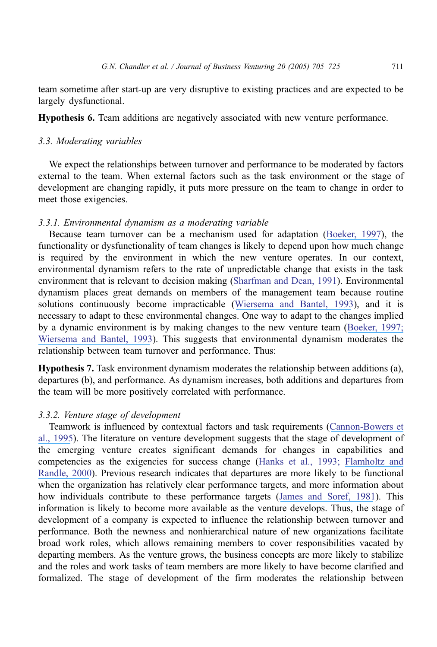team sometime after start-up are very disruptive to existing practices and are expected to be largely dysfunctional.

Hypothesis 6. Team additions are negatively associated with new venture performance.

## 3.3. Moderating variables

We expect the relationships between turnover and performance to be moderated by factors external to the team. When external factors such as the task environment or the stage of development are changing rapidly, it puts more pressure on the team to change in order to meet those exigencies.

## 3.3.1. Environmental dynamism as a moderating variable

Because team turnover can be a mechanism used for adaptation ([Boeker,](#page-18-0)[1997\)](#page-18-0), the functionality or dysfunctionality of team changes is likely to depend upon how much change is required by the environment in which the new venture operates. In our context, environmental dynamism refers to the rate of unpredictable change that exists in the task environment that is relevant to decision making ([Sharfman and Dean, 1991\)](#page-20-0). Environmental dynamism places great demands on members of the management team because routine solutions continuously become impracticable ([W](#page-20-0)[iersema and Bantel, 199](https://www.researchgate.net/publication/227770331_Top_Management_Team_Turnover_As_an_Adaptation_Mechanism_The_Role_of_the_Environment?el=1_x_8&enrichId=rgreq-8e58a7085e5716c1990a65ef208fcaad-XXX&enrichSource=Y292ZXJQYWdlOzIyMjUzODczMztBUzoxMDUwMTc4OTc5MTQzNzFAMTQwMjA0OTYyNjUxMQ==)[3\)](#page-20-0), and it is necessary to adapt to these environmental changes. One way to adapt to the changes implied by a dynamic environment is by making changes to the new venture team ([Boeker, 1997;](https://www.researchgate.net/publication/271761028_Executive_Migration_and_Strategic_Change_The_Effect_of_Top_Manager_Movement_on_Product-Market_Entry?el=1_x_8&enrichId=rgreq-8e58a7085e5716c1990a65ef208fcaad-XXX&enrichSource=Y292ZXJQYWdlOzIyMjUzODczMztBUzoxMDUwMTc4OTc5MTQzNzFAMTQwMjA0OTYyNjUxMQ==) [Wiersema and Bantel, 1993](https://www.researchgate.net/publication/227770331_Top_Management_Team_Turnover_As_an_Adaptation_Mechanism_The_Role_of_the_Environment?el=1_x_8&enrichId=rgreq-8e58a7085e5716c1990a65ef208fcaad-XXX&enrichSource=Y292ZXJQYWdlOzIyMjUzODczMztBUzoxMDUwMTc4OTc5MTQzNzFAMTQwMjA0OTYyNjUxMQ==)). This suggests that environmental dynamism moderates the relationship between team turnover and performance. Thus:

Hypothesis 7. Task environment dynamism moderates the relationship between additions (a), departures (b), and performance. As dynamism increases, both additions and departures from the team will be more positively correlated with performance.

## 3.3.2. Venture stage of development

Teamwork is influenced by contextual factors and task requirements ([Cannon-Bowers et](#page-18-0) [al., 1995](https://www.researchgate.net/publication/243778198_Defining_Competencies_And_Establishing_Team_Training_Requirements?el=1_x_8&enrichId=rgreq-8e58a7085e5716c1990a65ef208fcaad-XXX&enrichSource=Y292ZXJQYWdlOzIyMjUzODczMztBUzoxMDUwMTc4OTc5MTQzNzFAMTQwMjA0OTYyNjUxMQ==)). The literature on venture development suggests that the stage of development of the emerging venture creates significant demands for changes in capabilities and competencies as the exigencies for success change ([Hanks et al., 1993; Flamholtz and](#page-19-0) [Randle, 2000](https://www.researchgate.net/publication/276009826_How_to_Make_the_Transition_from_an_Entrepreneurship_to_a_Professionally_Managed_Firm?el=1_x_8&enrichId=rgreq-8e58a7085e5716c1990a65ef208fcaad-XXX&enrichSource=Y292ZXJQYWdlOzIyMjUzODczMztBUzoxMDUwMTc4OTc5MTQzNzFAMTQwMjA0OTYyNjUxMQ==)). Previous research indicates that departures are more likely to be functional when the organization has relatively clear performance targets, and more information about how individuals contribute to these performance targets ([James and Soref, 1981\)](#page-19-0). This information is likely to become more available as the venture develops. Thus, the stage of development of a company is expected to influence the relationship between turnover and performance. Both the newness and nonhierarchical nature of new organizations facilitate broad work roles, which allows remaining members to cover responsibilities vacated by departing members. As the venture grows, the business concepts are more likely to stabilize and the roles and work tasks of team members are more likely to have become clarified and formalized. The stage of development of the firm moderates the relationship between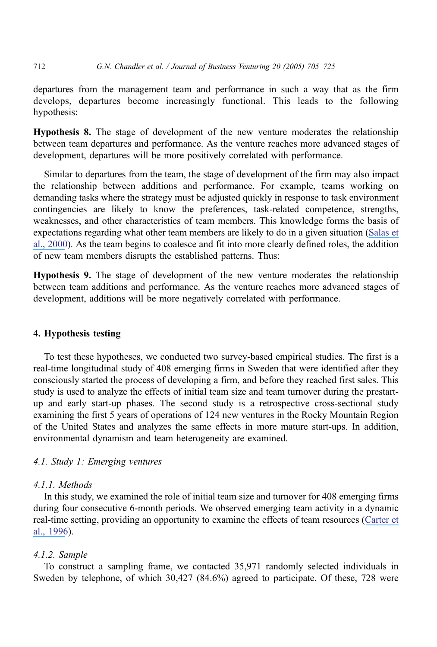departures from the management team and performance in such a way that as the firm develops, departures become increasingly functional. This leads to the following hypothesis:

Hypothesis 8. The stage of development of the new venture moderates the relationship between team departures and performance. As the venture reaches more advanced stages of development, departures will be more positively correlated with performance.

Similar to departures from the team, the stage of development of the firm may also impact the relationship between additions and performance. For example, teams working on demanding tasks where the strategy must be adjusted quickly in response to task environment contingencies are likely to know the preferences, task-related competence, strengths, weaknesses, and other characteristics of team members. This knowledge forms the basis of expectations regarding what other team members are likely to do in a given situation ([Salas e](https://www.researchgate.net/publication/229731935_Teamwork_Emerging_principles?el=1_x_8&enrichId=rgreq-8e58a7085e5716c1990a65ef208fcaad-XXX&enrichSource=Y292ZXJQYWdlOzIyMjUzODczMztBUzoxMDUwMTc4OTc5MTQzNzFAMTQwMjA0OTYyNjUxMQ==)[t](#page-20-0) [al., 2000](https://www.researchgate.net/publication/229731935_Teamwork_Emerging_principles?el=1_x_8&enrichId=rgreq-8e58a7085e5716c1990a65ef208fcaad-XXX&enrichSource=Y292ZXJQYWdlOzIyMjUzODczMztBUzoxMDUwMTc4OTc5MTQzNzFAMTQwMjA0OTYyNjUxMQ==)). As the team begins to coalesce and fit into more clearly defined roles, the addition of new team members disrupts the established patterns. Thus:

Hypothesis 9. The stage of development of the new venture moderates the relationship between team additions and performance. As the venture reaches more advanced stages of development, additions will be more negatively correlated with performance.

# 4. Hypothesis testing

To test these hypotheses, we conducted two survey-based empirical studies. The first is a real-time longitudinal study of 408 emerging firms in Sweden that were identified after they consciously started the process of developing a firm, and before they reached first sales. This study is used to analyze the effects of initial team size and team turnover during the prestartup and early start-up phases. The second study is a retrospective cross-sectional study examining the first 5 years of operations of 124 new ventures in the Rocky Mountain Region of the United States and analyzes the same effects in more mature start-ups. In addition, environmental dynamism and team heterogeneity are examined.

## 4.1. Study 1: Emerging ventures

## 4.1.1. Methods

In this study, we examined the role of initial team size and turnover for 408 emerging firms during four consecutive 6-month periods. We observed emerging team activity in a dynamic real-time setting, providing an opportunity to examine the effects of team resources ([Carter et](#page-18-0) [al., 1996](https://www.researchgate.net/publication/4967759_Exploring_Start-Up_Event_Sequences?el=1_x_8&enrichId=rgreq-8e58a7085e5716c1990a65ef208fcaad-XXX&enrichSource=Y292ZXJQYWdlOzIyMjUzODczMztBUzoxMDUwMTc4OTc5MTQzNzFAMTQwMjA0OTYyNjUxMQ==)).

## 4.1.2. Sample

To construct a sampling frame, we contacted 35,971 randomly selected individuals in Sweden by telephone, of which 30,427 (84.6%) agreed to participate. Of these, 728 were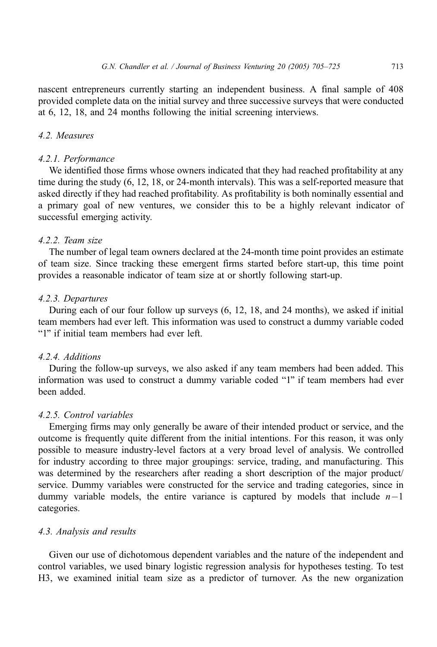nascent entrepreneurs currently starting an independent business. A final sample of 408 provided complete data on the initial survey and three successive surveys that were conducted at 6, 12, 18, and 24 months following the initial screening interviews.

## 4.2. Measures

## 4.2.1. Performance

We identified those firms whose owners indicated that they had reached profitability at any time during the study (6, 12, 18, or 24-month intervals). This was a self-reported measure that asked directly if they had reached profitability. As profitability is both nominally essential and a primary goal of new ventures, we consider this to be a highly relevant indicator of successful emerging activity.

## 4.2.2. Team size

The number of legal team owners declared at the 24-month time point provides an estimate of team size. Since tracking these emergent firms started before start-up, this time point provides a reasonable indicator of team size at or shortly following start-up.

## 4.2.3. Departures

During each of our four follow up surveys (6, 12, 18, and 24 months), we asked if initial team members had ever left. This information was used to construct a dummy variable coded "1" if initial team members had ever left.

#### 4.2.4. Additions

During the follow-up surveys, we also asked if any team members had been added. This information was used to construct a dummy variable coded "1" if team members had ever been added.

## 4.2.5. Control variables

Emerging firms may only generally be aware of their intended product or service, and the outcome is frequently quite different from the initial intentions. For this reason, it was only possible to measure industry-level factors at a very broad level of analysis. We controlled for industry according to three major groupings: service, trading, and manufacturing. This was determined by the researchers after reading a short description of the major product/ service. Dummy variables were constructed for the service and trading categories, since in dummy variable models, the entire variance is captured by models that include  $n-1$ categories.

#### 4.3. Analysis and results

Given our use of dichotomous dependent variables and the nature of the independent and control variables, we used binary logistic regression analysis for hypotheses testing. To test H3, we examined initial team size as a predictor of turnover. As the new organization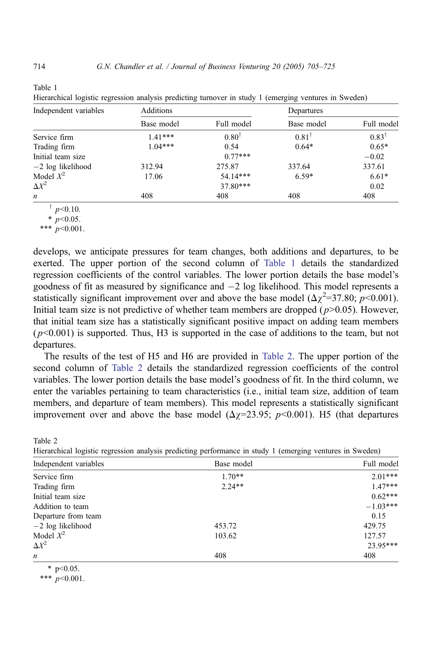<span id="page-9-0"></span>

| ۰ |  |
|---|--|
|   |  |

| Independent variables | <b>Additions</b> |                  | Departures       |                  |
|-----------------------|------------------|------------------|------------------|------------------|
|                       | Base model       | Full model       | Base model       | Full model       |
| Service firm          | $1.41***$        | $0.80^{\dagger}$ | $0.81^{\dagger}$ | $0.83^{\dagger}$ |
| Trading firm          | $1.04***$        | 0.54             | $0.64*$          | $0.65*$          |
| Initial team size     |                  | $0.77***$        |                  | $-0.02$          |
| $-2$ log likelihood   | 312.94           | 275.87           | 337.64           | 337.61           |
| Model $X^2$           | 17.06            | $54.14***$       | $6.59*$          | $6.61*$          |
| $\Delta X^2$          |                  | $37.80***$       |                  | 0.02             |
| $\boldsymbol{n}$      | 408              | 408              | 408              | 408              |

Table 1

|  |  |  |  | Hierarchical logistic regression analysis predicting turnover in study 1 (emerging ventures in Sweden) |  |
|--|--|--|--|--------------------------------------------------------------------------------------------------------|--|
|  |  |  |  |                                                                                                        |  |
|  |  |  |  |                                                                                                        |  |
|  |  |  |  |                                                                                                        |  |

 $p > 0.10$ .

develops, we anticipate pressures for team changes, both additions and departures, to be exerted. The upper portion of the second column of Table 1 details the standardized regression coefficients of the control variables. The lower portion details the base model's goodness of fit as measured by significance and  $-2$  log likelihood. This model represents a statistically significant improvement over and above the base model ( $\Delta \chi^2$ =37.80; p<0.001). Initial team size is not predictive of whether team members are dropped ( $p>0.05$ ). However, that initial team size has a statistically significant positive impact on adding team members  $(p<0.001)$  is supported. Thus, H3 is supported in the case of additions to the team, but not departures.

The results of the test of H5 and H6 are provided in Table 2. The upper portion of the second column of Table 2 details the standardized regression coefficients of the control variables. The lower portion details the base model's goodness of fit. In the third column, we enter the variables pertaining to team characteristics (i.e., initial team size, addition of team members, and departure of team members). This model represents a statistically significant improvement over and above the base model ( $\Delta \gamma$ =23.95; p<0.001). H5 (that departures

Table 2

| Hierarchical logistic regression analysis predicting performance in study 1 (emerging ventures in Sweden) |  |  |  |
|-----------------------------------------------------------------------------------------------------------|--|--|--|
|-----------------------------------------------------------------------------------------------------------|--|--|--|

| Independent variables | Base model | Full model |
|-----------------------|------------|------------|
| Service firm          | $1.70**$   | $2.01***$  |
| Trading firm          | $2.24**$   | $1.47***$  |
| Initial team size     |            | $0.62***$  |
| Addition to team      |            | $-1.03***$ |
| Departure from team   |            | 0.15       |
| $-2$ log likelihood   | 453.72     | 429.75     |
| Model $X^2$           | 103.62     | 127.57     |
| $\Delta X^2$          |            | $23.95***$ |
| $\boldsymbol{n}$      | 408        | 408        |

\*  $p<0.05$ .

\*\*\*  $p<0.001$ .

 $*$  p<0.05.

<sup>\*\*\*</sup>  $p<0.001$ .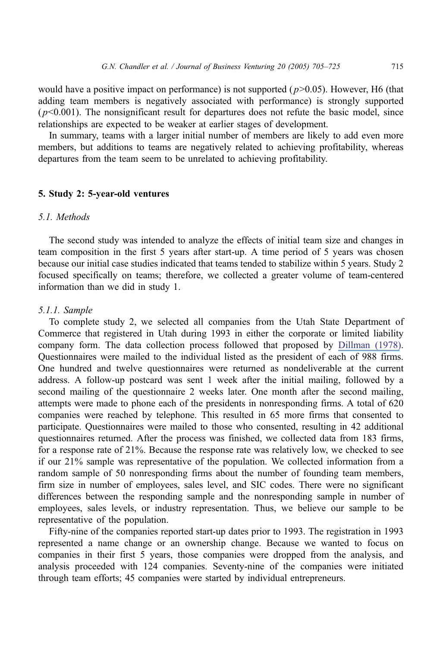would have a positive impact on performance) is not supported  $(p>0.05)$ . However, H6 (that adding team members is negatively associated with performance) is strongly supported  $(p<0.001)$ . The nonsignificant result for departures does not refute the basic model, since relationships are expected to be weaker at earlier stages of development.

In summary, teams with a larger initial number of members are likely to add even more members, but additions to teams are negatively related to achieving profitability, whereas departures from the team seem to be unrelated to achieving profitability.

#### 5. Study 2: 5-year-old ventures

# 5.1. Methods

The second study was intended to analyze the effects of initial team size and changes in team composition in the first 5 years after start-up. A time period of 5 years was chosen because our initial case studies indicated that teams tended to stabilize within 5 years. Study 2 focused specifically on teams; therefore, we collected a greater volume of team-centered information than we did in study 1.

#### 5.1.1. Sample

To complete study 2, we selected all companies from the Utah State Department of Commerce that registered in Utah during 1993 in either the corporate or limited liability company form. The data collection process followed that proposed by [Dillman](https://www.researchgate.net/publication/291022894_Mail_and_Telephone_Surveys_The_Total_Design_Method?el=1_x_8&enrichId=rgreq-8e58a7085e5716c1990a65ef208fcaad-XXX&enrichSource=Y292ZXJQYWdlOzIyMjUzODczMztBUzoxMDUwMTc4OTc5MTQzNzFAMTQwMjA0OTYyNjUxMQ==)[\(1978](https://www.researchgate.net/publication/291022894_Mail_and_Telephone_Surveys_The_Total_Design_Method?el=1_x_8&enrichId=rgreq-8e58a7085e5716c1990a65ef208fcaad-XXX&enrichSource=Y292ZXJQYWdlOzIyMjUzODczMztBUzoxMDUwMTc4OTc5MTQzNzFAMTQwMjA0OTYyNjUxMQ==)[\).](#page-19-0) Questionnaires were mailed to the individual listed as the president of each of 988 firms. One hundred and twelve questionnaires were returned as nondeliverable at the current address. A follow-up postcard was sent 1 week after the initial mailing, followed by a second mailing of the questionnaire 2 weeks later. One month after the second mailing, attempts were made to phone each of the presidents in nonresponding firms. A total of 620 companies were reached by telephone. This resulted in 65 more firms that consented to participate. Questionnaires were mailed to those who consented, resulting in 42 additional questionnaires returned. After the process was finished, we collected data from 183 firms, for a response rate of 21%. Because the response rate was relatively low, we checked to see if our 21% sample was representative of the population. We collected information from a random sample of 50 nonresponding firms about the number of founding team members, firm size in number of employees, sales level, and SIC codes. There were no significant differences between the responding sample and the nonresponding sample in number of employees, sales levels, or industry representation. Thus, we believe our sample to be representative of the population.

Fifty-nine of the companies reported start-up dates prior to 1993. The registration in 1993 represented a name change or an ownership change. Because we wanted to focus on companies in their first 5 years, those companies were dropped from the analysis, and analysis proceeded with 124 companies. Seventy-nine of the companies were initiated through team efforts; 45 companies were started by individual entrepreneurs.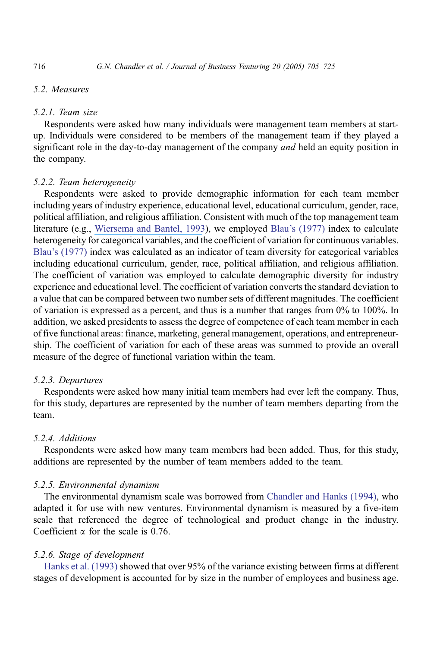# 5.2. Measures

# 5.2.1. Team size

Respondents were asked how many individuals were management team members at startup. Individuals were considered to be members of the management team if they played a significant role in the day-to-day management of the company *and* held an equity position in the company.

## 5.2.2. Team heterogeneity

Respondents were asked to provide demographic information for each team member including years of industry experience, educational level, educational curriculum, gender, race, political affiliation, and religious affiliation. Consistent with much of the top management team literature (e.g., [Wiersema and Bantel, 199](https://www.researchgate.net/publication/227770331_Top_Management_Team_Turnover_As_an_Adaptation_Mechanism_The_Role_of_the_Environment?el=1_x_8&enrichId=rgreq-8e58a7085e5716c1990a65ef208fcaad-XXX&enrichSource=Y292ZXJQYWdlOzIyMjUzODczMztBUzoxMDUwMTc4OTc5MTQzNzFAMTQwMjA0OTYyNjUxMQ==)[3\)](#page-20-0), we employed [Blau's \(1977\)](#page-18-0) index to calculate heterogeneity for categorical variables, and the coefficient of variation for continuous variables. [Blau's \(1977\)](#page-18-0) index was calculated as an indicator of team diversity for categorical variables including educational curriculum, gender, race, political affiliation, and religious affiliation. The coefficient of variation was employed to calculate demographic diversity for industry experience and educational level. The coefficient of variation converts the standard deviation to a value that can be compared between two number sets of different magnitudes. The coefficient of variation is expressed as a percent, and thus is a number that ranges from 0% to 100%. In addition, we asked presidents to assess the degree of competence of each team member in each of five functional areas: finance, marketing, general management, operations, and entrepreneurship. The coefficient of variation for each of these areas was summed to provide an overall measure of the degree of functional variation within the team.

#### 5.2.3. Departures

Respondents were asked how many initial team members had ever left the company. Thus, for this study, departures are represented by the number of team members departing from the team.

#### 5.2.4. Additions

Respondents were asked how many team members had been added. Thus, for this study, additions are represented by the number of team members added to the team.

## 5.2.5. Environmental dynamism

The environmental dynamism scale was borrowed from [Chandler and Hanks \(1994\),](#page-19-0) who adapted it for use with new ventures. Environmental dynamism is measured by a five-item scale that referenced the degree of technological and product change in the industry. Coefficient  $\alpha$  for the scale is 0.76.

# 5.2.6. Stage of development

[Hanks et al. \(1993\)](#page-19-0) showed that over 95% of the variance existing between firms at different stages of development is accounted for by size in the number of employees and business age.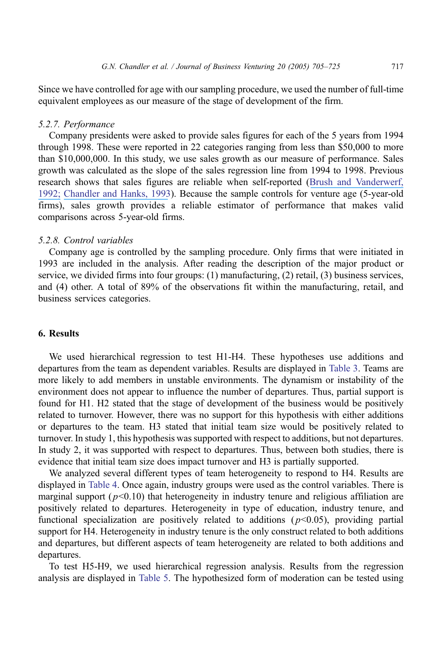Since we have controlled for age with our sampling procedure, we used the number of full-time equivalent employees as our measure of the stage of development of the firm.

#### 5.2.7. Performance

Company presidents were asked to provide sales figures for each of the 5 years from 1994 through 1998. These were reported in 22 categories ranging from less than \$50,000 to more than \$10,000,000. In this study, we use sales growth as our measure of performance. Sales growth was calculated as the slope of the sales regression line from 1994 to 1998. Previous research shows that sales figures are reliable when self-reported ([Brush and Vanderwerf,](https://www.researchgate.net/publication/223884212_A_Comparison_of_Methods_and_Sources_for_Obtaining_Estimates_of_New_Venture_Performance?el=1_x_8&enrichId=rgreq-8e58a7085e5716c1990a65ef208fcaad-XXX&enrichSource=Y292ZXJQYWdlOzIyMjUzODczMztBUzoxMDUwMTc4OTc5MTQzNzFAMTQwMjA0OTYyNjUxMQ==) [1992;](https://www.researchgate.net/publication/223884212_A_Comparison_of_Methods_and_Sources_for_Obtaining_Estimates_of_New_Venture_Performance?el=1_x_8&enrichId=rgreq-8e58a7085e5716c1990a65ef208fcaad-XXX&enrichSource=Y292ZXJQYWdlOzIyMjUzODczMztBUzoxMDUwMTc4OTc5MTQzNzFAMTQwMjA0OTYyNjUxMQ==) [Chandler and Hanks, 1993](https://www.researchgate.net/publication/4968285_Measuring_the_performance_of_emerging_businesses_A_validation_study?el=1_x_8&enrichId=rgreq-8e58a7085e5716c1990a65ef208fcaad-XXX&enrichSource=Y292ZXJQYWdlOzIyMjUzODczMztBUzoxMDUwMTc4OTc5MTQzNzFAMTQwMjA0OTYyNjUxMQ==)). Because the sample controls for venture age (5-year-old firms), sales growth provides a reliable estimator of performance that makes valid comparisons across 5-year-old firms.

## 5.2.8. Control variables

Company age is controlled by the sampling procedure. Only firms that were initiated in 1993 are included in the analysis. After reading the description of the major product or service, we divided firms into four groups: (1) manufacturing, (2) retail, (3) business services, and (4) other. A total of 89% of the observations fit within the manufacturing, retail, and business services categories.

## 6. Results

We used hierarchical regression to test H1-H4. These hypotheses use additions and departures from the team as dependent variables. Results are displayed in [Table 3.](#page-13-0) Teams are more likely to add members in unstable environments. The dynamism or instability of the environment does not appear to influence the number of departures. Thus, partial support is found for H1. H2 stated that the stage of development of the business would be positively related to turnover. However, there was no support for this hypothesis with either additions or departures to the team. H3 stated that initial team size would be positively related to turnover. In study 1, this hypothesis was supported with respect to additions, but not departures. In study 2, it was supported with respect to departures. Thus, between both studies, there is evidence that initial team size does impact turnover and H3 is partially supported.

We analyzed several different types of team heterogeneity to respond to H4. Results are displayed in [Table 4.](#page-13-0) Once again, industry groups were used as the control variables. There is marginal support ( $p<0.10$ ) that heterogeneity in industry tenure and religious affiliation are positively related to departures. Heterogeneity in type of education, industry tenure, and functional specialization are positively related to additions ( $p<0.05$ ), providing partial support for H4. Heterogeneity in industry tenure is the only construct related to both additions and departures, but different aspects of team heterogeneity are related to both additions and departures.

To test H5-H9, we used hierarchical regression analysis. Results from the regression analysis are displayed in [Table 5.](#page-14-0) The hypothesized form of moderation can be tested using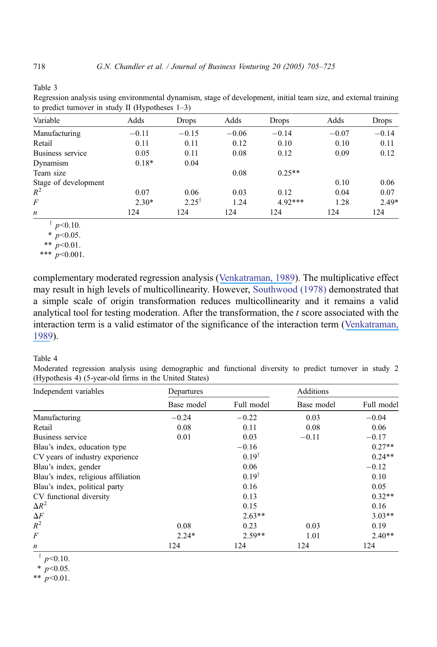<span id="page-13-0"></span>Table 3

Regression analysis using environmental dynamism, stage of development, initial team size, and external training to predict turnover in study II (Hypotheses 1–3)

| Variable             | Adds    | <b>Drops</b>     | Adds    | <b>Drops</b> | Adds    | Drops   |
|----------------------|---------|------------------|---------|--------------|---------|---------|
| Manufacturing        | $-0.11$ | $-0.15$          | $-0.06$ | $-0.14$      | $-0.07$ | $-0.14$ |
| Retail               | 0.11    | 0.11             | 0.12    | 0.10         | 0.10    | 0.11    |
| Business service     | 0.05    | 0.11             | 0.08    | 0.12         | 0.09    | 0.12    |
| Dynamism             | $0.18*$ | 0.04             |         |              |         |         |
| Team size            |         |                  | 0.08    | $0.25**$     |         |         |
| Stage of development |         |                  |         |              | 0.10    | 0.06    |
| $R^2$                | 0.07    | 0.06             | 0.03    | 0.12         | 0.04    | 0.07    |
| F                    | $2.30*$ | $2.25^{\dagger}$ | 1.24    | 4.92***      | 1.28    | $2.49*$ |
| $\boldsymbol{n}$     | 124     | 124              | 124     | 124          | 124     | 124     |

 $p > 0.10$ .

\*\*\*  $p<0.001$ .

complementary moderated regression analysis ([Venkatraman, 198](https://www.researchgate.net/publication/38007222_The_Concept_of_Fit_in_Strategy_Research_Towards_Verbal_and_Statistical_Congruence?el=1_x_8&enrichId=rgreq-8e58a7085e5716c1990a65ef208fcaad-XXX&enrichSource=Y292ZXJQYWdlOzIyMjUzODczMztBUzoxMDUwMTc4OTc5MTQzNzFAMTQwMjA0OTYyNjUxMQ==)[9\)](#page-20-0). The multiplicative effect may result in high levels of multicollinearity. However, [Southwood \(1978\)](#page-20-0) demonstrated that a simple scale of origin transformation reduces multicollinearity and it remains a valid analytical tool for testing moderation. After the transformation, the  $t$  score associated with the interaction term is a valid estimator of the significance of the interaction term ([Venkatraman](https://www.researchgate.net/publication/38007222_The_Concept_of_Fit_in_Strategy_Research_Towards_Verbal_and_Statistical_Congruence?el=1_x_8&enrichId=rgreq-8e58a7085e5716c1990a65ef208fcaad-XXX&enrichSource=Y292ZXJQYWdlOzIyMjUzODczMztBUzoxMDUwMTc4OTc5MTQzNzFAMTQwMjA0OTYyNjUxMQ==)[,](#page-20-0) [1989](https://www.researchgate.net/publication/38007222_The_Concept_of_Fit_in_Strategy_Research_Towards_Verbal_and_Statistical_Congruence?el=1_x_8&enrichId=rgreq-8e58a7085e5716c1990a65ef208fcaad-XXX&enrichSource=Y292ZXJQYWdlOzIyMjUzODczMztBUzoxMDUwMTc4OTc5MTQzNzFAMTQwMjA0OTYyNjUxMQ==)).

#### Table 4

Moderated regression analysis using demographic and functional diversity to predict turnover in study 2 (Hypothesis 4) (5-year-old firms in the United States)

| Independent variables               | Departures |                  |            | <b>Additions</b> |  |  |
|-------------------------------------|------------|------------------|------------|------------------|--|--|
|                                     | Base model | Full model       | Base model | Full model       |  |  |
| Manufacturing                       | $-0.24$    | $-0.22$          | 0.03       | $-0.04$          |  |  |
| Retail                              | 0.08       | 0.11             | 0.08       | 0.06             |  |  |
| Business service                    | 0.01       | 0.03             | $-0.11$    | $-0.17$          |  |  |
| Blau's index, education type        |            | $-0.16$          |            | $0.27**$         |  |  |
| CV years of industry experience     |            | $0.19^{\dagger}$ |            | $0.24**$         |  |  |
| Blau's index, gender                |            | 0.06             |            | $-0.12$          |  |  |
| Blau's index, religious affiliation |            | $0.19^{\dagger}$ |            | 0.10             |  |  |
| Blau's index, political party       |            | 0.16             |            | 0.05             |  |  |
| CV functional diversity             |            | 0.13             |            | $0.32**$         |  |  |
| $\Delta R^2$                        |            | 0.15             |            | 0.16             |  |  |
| $\Delta F$                          |            | $2.63**$         |            | $3.03**$         |  |  |
| $R^2$                               | 0.08       | 0.23             | 0.03       | 0.19             |  |  |
| F                                   | $2.24*$    | $2.59**$         | 1.01       | $2.40**$         |  |  |
| $\boldsymbol{n}$                    | 124        | 124              | 124        | 124              |  |  |

 $p > 0.10$ .

 $\star p<0.05$ .

\*\*  $p<0.01$ .

<sup>\*</sup>  $p<0.05$ .

<sup>\*\*</sup>  $p<0.01$ .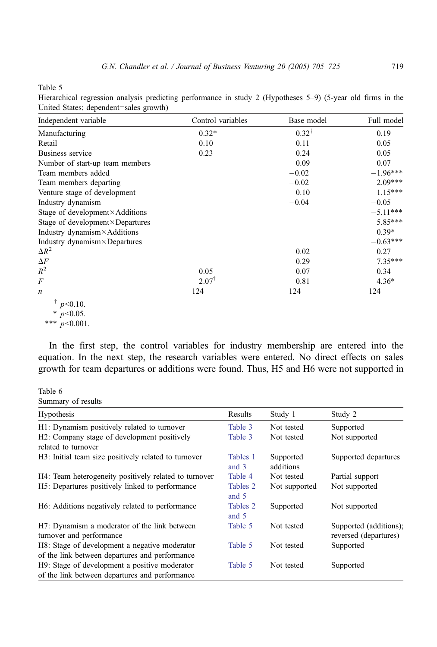<span id="page-14-0"></span>Table 5

Hierarchical regression analysis predicting performance in study 2 (Hypotheses 5–9) (5-year old firms in the United States; dependent=sales growth)

| Independent variable                     | Control variables | Base model       | Full model |
|------------------------------------------|-------------------|------------------|------------|
| Manufacturing                            | $0.32*$           | $0.32^{\dagger}$ | 0.19       |
| Retail                                   | 0.10              | 0.11             | 0.05       |
| Business service                         | 0.23              | 0.24             | 0.05       |
| Number of start-up team members          |                   | 0.09             | 0.07       |
| Team members added                       |                   | $-0.02$          | $-1.96***$ |
| Team members departing                   |                   | $-0.02$          | $2.09***$  |
| Venture stage of development             |                   | 0.10             | $1.15***$  |
| Industry dynamism                        |                   | $-0.04$          | $-0.05$    |
| Stage of development×Additions           |                   |                  | $-5.11***$ |
| Stage of development $\times$ Departures |                   |                  | $5.85***$  |
| Industry dynamism $\times$ Additions     |                   |                  | $0.39*$    |
| Industry dynamism×Departures             |                   |                  | $-0.63***$ |
| $\Delta R^2$                             |                   | 0.02             | 0.27       |
| $\Delta F$                               |                   | 0.29             | $7.35***$  |
| $R^2$                                    | 0.05              | 0.07             | 0.34       |
| $\overline{F}$                           | $2.07^{\dagger}$  | 0.81             | $4.36*$    |
| $\boldsymbol{n}$<br>A.                   | 124               | 124              | 124        |

- $p<0.10$ .
- \*  $p<0.05$ .

\*\*\*  $p<0.001$ .

In the first step, the control variables for industry membership are entered into the equation. In the next step, the research variables were entered. No direct effects on sales growth for team departures or additions were found. Thus, H5 and H6 were not supported in

Table 6 Summary of results

| <b>Hypothesis</b>                                            | Results  | Study 1       | Study 2                |
|--------------------------------------------------------------|----------|---------------|------------------------|
| H1: Dynamism positively related to turnover                  | Table 3  | Not tested    | Supported              |
| H2: Company stage of development positively                  | Table 3  | Not tested    | Not supported          |
| related to turnover                                          |          |               |                        |
| H3: Initial team size positively related to turnover         | Tables 1 | Supported     | Supported departures   |
|                                                              | and 3    | additions     |                        |
| H4: Team heterogeneity positively related to turnover        | Table 4  | Not tested    | Partial support        |
| H <sub>5</sub> : Departures positively linked to performance | Tables 2 | Not supported | Not supported          |
|                                                              | and 5    |               |                        |
| H6: Additions negatively related to performance              | Tables 2 | Supported     | Not supported          |
|                                                              | and 5    |               |                        |
| H7: Dynamism a moderator of the link between                 | Table 5  | Not tested    | Supported (additions); |
| turnover and performance                                     |          |               | reversed (departures)  |
| H8: Stage of development a negative moderator                | Table 5  | Not tested    | Supported              |
| of the link between departures and performance               |          |               |                        |
| H9: Stage of development a positive moderator                | Table 5  | Not tested    | Supported              |
| of the link between departures and performance               |          |               |                        |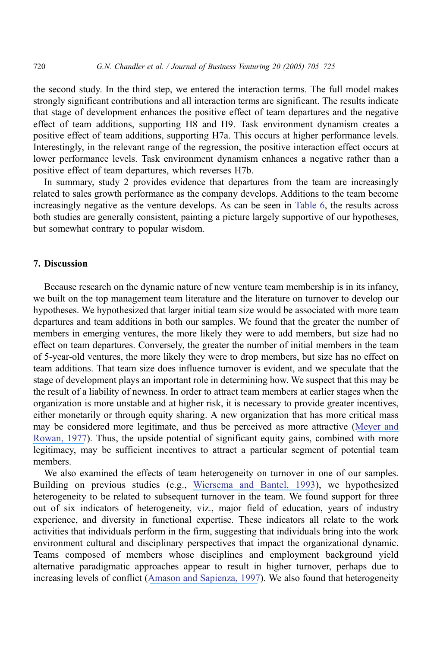the second study. In the third step, we entered the interaction terms. The full model makes strongly significant contributions and all interaction terms are significant. The results indicate that stage of development enhances the positive effect of team departures and the negative effect of team additions, supporting H8 and H9. Task environment dynamism creates a positive effect of team additions, supporting H7a. This occurs at higher performance levels. Interestingly, in the relevant range of the regression, the positive interaction effect occurs at lower performance levels. Task environment dynamism enhances a negative rather than a positive effect of team departures, which reverses H7b.

In summary, study 2 provides evidence that departures from the team are increasingly related to sales growth performance as the company develops. Additions to the team become increasingly negative as the venture develops. As can be seen in [Table 6,](#page-14-0) the results across both studies are generally consistent, painting a picture largely supportive of our hypotheses, but somewhat contrary to popular wisdom.

# 7. Discussion

Because research on the dynamic nature of new venture team membership is in its infancy, we built on the top management team literature and the literature on turnover to develop our hypotheses. We hypothesized that larger initial team size would be associated with more team departures and team additions in both our samples. We found that the greater the number of members in emerging ventures, the more likely they were to add members, but size had no effect on team departures. Conversely, the greater the number of initial members in the team of 5-year-old ventures, the more likely they were to drop members, but size has no effect on team additions. That team size does influence turnover is evident, and we speculate that the stage of development plays an important role in determining how. We suspect that this may be the result of a liability of newness. In order to attract team members at earlier stages when the organization is more unstable and at higher risk, it is necessary to provide greater incentives, either monetarily or through equity sharing. A new organization that has more critical mass may be considered more legitimate, and thus be perceived as more attractive ([Meyer and](#page-19-0) [Rowan, 1977](https://www.researchgate.net/publication/281453343_Institutionalized_organizations_Formal_structure_as_myth_and_ceremony?el=1_x_8&enrichId=rgreq-8e58a7085e5716c1990a65ef208fcaad-XXX&enrichSource=Y292ZXJQYWdlOzIyMjUzODczMztBUzoxMDUwMTc4OTc5MTQzNzFAMTQwMjA0OTYyNjUxMQ==)). Thus, the upside potential of significant equity gains, combined with more legitimacy, may be sufficient incentives to attract a particular segment of potential team members.

We also examined the effects of team heterogeneity on turnover in one of our samples. Building on previous studies (e.g., [W](https://www.researchgate.net/publication/227770331_Top_Management_Team_Turnover_As_an_Adaptation_Mechanism_The_Role_of_the_Environment?el=1_x_8&enrichId=rgreq-8e58a7085e5716c1990a65ef208fcaad-XXX&enrichSource=Y292ZXJQYWdlOzIyMjUzODczMztBUzoxMDUwMTc4OTc5MTQzNzFAMTQwMjA0OTYyNjUxMQ==)[iersema and Bantel, 1993\)](#page-20-0), we hypothesized heterogeneity to be related to subsequent turnover in the team. We found support for three out of six indicators of heterogeneity, viz., major field of education, years of industry experience, and diversity in functional expertise. These indicators all relate to the work activities that individuals perform in the firm, suggesting that individuals bring into the work environment cultural and disciplinary perspectives that impact the organizational dynamic. Teams composed of members whose disciplines and employment background yield alternative paradigmatic approaches appear to result in higher turnover, perhaps due to increasing levels of conflict ([Amason and Sapienza, 1997\)](#page-18-0). We also found that heterogeneity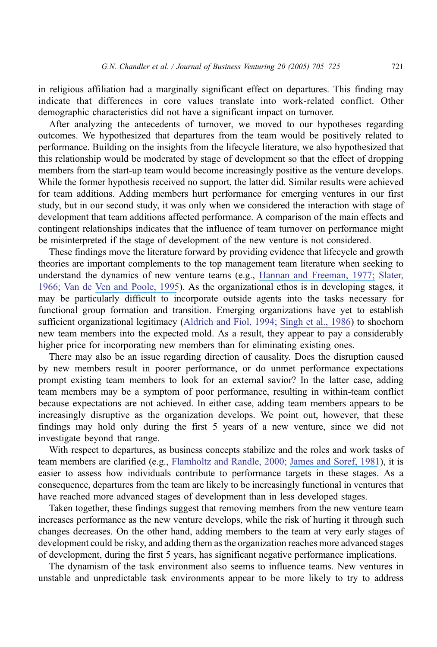in religious affiliation had a marginally significant effect on departures. This finding may indicate that differences in core values translate into work-related conflict. Other demographic characteristics did not have a significant impact on turnover.

After analyzing the antecedents of turnover, we moved to our hypotheses regarding outcomes. We hypothesized that departures from the team would be positively related to performance. Building on the insights from the lifecycle literature, we also hypothesized that this relationship would be moderated by stage of development so that the effect of dropping members from the start-up team would become increasingly positive as the venture develops. While the former hypothesis received no support, the latter did. Similar results were achieved for team additions. Adding members hurt performance for emerging ventures in our first study, but in our second study, it was only when we considered the interaction with stage of development that team additions affected performance. A comparison of the main effects and contingent relationships indicates that the influence of team turnover on performance might be misinterpreted if the stage of development of the new venture is not considered.

These findings move the literature forward by providing evidence that lifecycle and growth theories are important complements to the top management team literature when seeking to understand the dynamics of new venture teams (e.g., [Hannan and Freeman, 1977;](https://www.researchgate.net/publication/228314106_The_Population_Ecology_of_Public_Organizations?el=1_x_8&enrichId=rgreq-8e58a7085e5716c1990a65ef208fcaad-XXX&enrichSource=Y292ZXJQYWdlOzIyMjUzODczMztBUzoxMDUwMTc4OTc5MTQzNzFAMTQwMjA0OTYyNjUxMQ==) [Slater,](#page-19-0) 1966; Van de [Ven and Poole, 1995](https://www.researchgate.net/publication/238227991_Explaining_Development_and_Change_in_Organizations?el=1_x_8&enrichId=rgreq-8e58a7085e5716c1990a65ef208fcaad-XXX&enrichSource=Y292ZXJQYWdlOzIyMjUzODczMztBUzoxMDUwMTc4OTc5MTQzNzFAMTQwMjA0OTYyNjUxMQ==)). As the organizational ethos is in developing stages, it may be particularly difficult to incorporate outside agents into the tasks necessary for functional group formation and transition. Emerging organizations have yet to establish sufficient organizational legitimacy ([Aldrich and Fiol, 1994; S](#page-18-0)[ingh](https://www.researchgate.net/publication/271760813_Organizational_Change_and_Organizational_Morality?el=1_x_8&enrichId=rgreq-8e58a7085e5716c1990a65ef208fcaad-XXX&enrichSource=Y292ZXJQYWdlOzIyMjUzODczMztBUzoxMDUwMTc4OTc5MTQzNzFAMTQwMjA0OTYyNjUxMQ==)[et](https://www.researchgate.net/publication/271760813_Organizational_Change_and_Organizational_Morality?el=1_x_8&enrichId=rgreq-8e58a7085e5716c1990a65ef208fcaad-XXX&enrichSource=Y292ZXJQYWdlOzIyMjUzODczMztBUzoxMDUwMTc4OTc5MTQzNzFAMTQwMjA0OTYyNjUxMQ==)[al.,](https://www.researchgate.net/publication/271760813_Organizational_Change_and_Organizational_Morality?el=1_x_8&enrichId=rgreq-8e58a7085e5716c1990a65ef208fcaad-XXX&enrichSource=Y292ZXJQYWdlOzIyMjUzODczMztBUzoxMDUwMTc4OTc5MTQzNzFAMTQwMjA0OTYyNjUxMQ==)[198](https://www.researchgate.net/publication/271760813_Organizational_Change_and_Organizational_Morality?el=1_x_8&enrichId=rgreq-8e58a7085e5716c1990a65ef208fcaad-XXX&enrichSource=Y292ZXJQYWdlOzIyMjUzODczMztBUzoxMDUwMTc4OTc5MTQzNzFAMTQwMjA0OTYyNjUxMQ==)[6\)](#page-18-0) to shoehorn new team members into the expected mold. As a result, they appear to pay a considerably higher price for incorporating new members than for eliminating existing ones.

There may also be an issue regarding direction of causality. Does the disruption caused by new members result in poorer performance, or do unmet performance expectations prompt existing team members to look for an external savior? In the latter case, adding team members may be a symptom of poor performance, resulting in within-team conflict because expectations are not achieved. In either case, adding team members appears to be increasingly disruptive as the organization develops. We point out, however, that these findings may hold only during the first 5 years of a new venture, since we did not investigate beyond that range.

With respect to departures, as business concepts stabilize and the roles and work tasks of team members are clarified (e.g., [Flamholtz and Randle, 2000; James and Soref, 1981\)](#page-19-0), it is easier to assess how individuals contribute to performance targets in these stages. As a consequence, departures from the team are likely to be increasingly functional in ventures that have reached more advanced stages of development than in less developed stages.

Taken together, these findings suggest that removing members from the new venture team increases performance as the new venture develops, while the risk of hurting it through such changes decreases. On the other hand, adding members to the team at very early stages of development could be risky, and adding them as the organization reaches more advanced stages of development, during the first 5 years, has significant negative performance implications.

The dynamism of the task environment also seems to influence teams. New ventures in unstable and unpredictable task environments appear to be more likely to try to address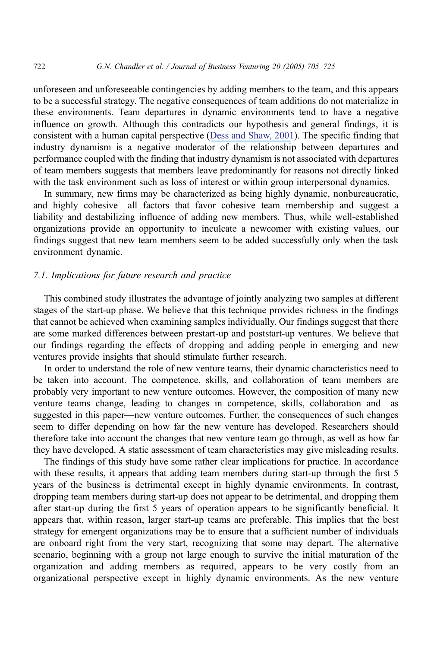unforeseen and unforeseeable contingencies by adding members to the team, and this appears to be a successful strategy. The negative consequences of team additions do not materialize in these environments. Team departures in dynamic environments tend to have a negative influence on growth. Although this contradicts our hypothesis and general findings, it is consistent with a human capital perspective ([D](#page-19-0)[ess and Shaw, 200](https://www.researchgate.net/publication/272581384_Voluntary_Turnover_Social_Capital_and_Organizational_Performance?el=1_x_8&enrichId=rgreq-8e58a7085e5716c1990a65ef208fcaad-XXX&enrichSource=Y292ZXJQYWdlOzIyMjUzODczMztBUzoxMDUwMTc4OTc5MTQzNzFAMTQwMjA0OTYyNjUxMQ==)[1\)](#page-19-0). The specific finding that industry dynamism is a negative moderator of the relationship between departures and performance coupled with the finding that industry dynamism is not associated with departures of team members suggests that members leave predominantly for reasons not directly linked with the task environment such as loss of interest or within group interpersonal dynamics.

In summary, new firms may be characterized as being highly dynamic, nonbureaucratic, and highly cohesive—all factors that favor cohesive team membership and suggest a liability and destabilizing influence of adding new members. Thus, while well-established organizations provide an opportunity to inculcate a newcomer with existing values, our findings suggest that new team members seem to be added successfully only when the task environment dynamic.

#### 7.1. Implications for future research and practice

This combined study illustrates the advantage of jointly analyzing two samples at different stages of the start-up phase. We believe that this technique provides richness in the findings that cannot be achieved when examining samples individually. Our findings suggest that there are some marked differences between prestart-up and poststart-up ventures. We believe that our findings regarding the effects of dropping and adding people in emerging and new ventures provide insights that should stimulate further research.

In order to understand the role of new venture teams, their dynamic characteristics need to be taken into account. The competence, skills, and collaboration of team members are probably very important to new venture outcomes. However, the composition of many new venture teams change, leading to changes in competence, skills, collaboration and—as suggested in this paper—new venture outcomes. Further, the consequences of such changes seem to differ depending on how far the new venture has developed. Researchers should therefore take into account the changes that new venture team go through, as well as how far they have developed. A static assessment of team characteristics may give misleading results.

The findings of this study have some rather clear implications for practice. In accordance with these results, it appears that adding team members during start-up through the first 5 years of the business is detrimental except in highly dynamic environments. In contrast, dropping team members during start-up does not appear to be detrimental, and dropping them after start-up during the first 5 years of operation appears to be significantly beneficial. It appears that, within reason, larger start-up teams are preferable. This implies that the best strategy for emergent organizations may be to ensure that a sufficient number of individuals are onboard right from the very start, recognizing that some may depart. The alternative scenario, beginning with a group not large enough to survive the initial maturation of the organization and adding members as required, appears to be very costly from an organizational perspective except in highly dynamic environments. As the new venture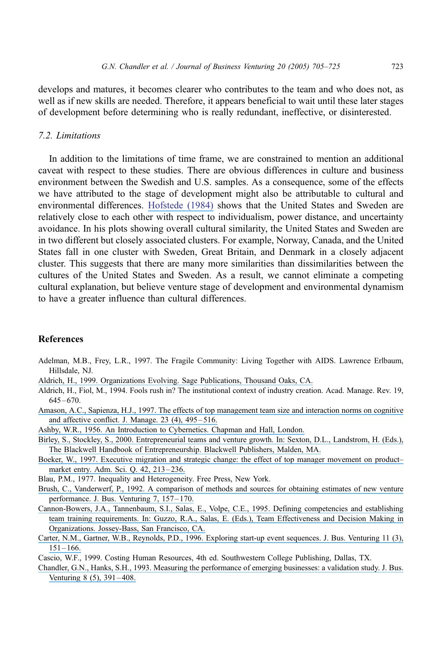<span id="page-18-0"></span>develops and matures, it becomes clearer who contributes to the team and who does not, as well as if new skills are needed. Therefore, it appears beneficial to wait until these later stages of development before determining who is really redundant, ineffective, or disinterested.

## 7.2. Limitations

In addition to the limitations of time frame, we are constrained to mention an additional caveat with respect to these studies. There are obvious differences in culture and business environment between the Swedish and U.S. samples. As a consequence, some of the effects we have attributed to the stage of development might also be attributable to cultural and environmental differences. [Hofstede \(1984](https://www.researchgate.net/publication/201381901_Culture)[\)](#page-19-0) shows that the United States and Sweden are relatively close to each other with respect to individualism, power distance, and uncertainty avoidance. In his plots showing overall cultural similarity, the United States and Sweden are in two different but closely associated clusters. For example, Norway, Canada, and the United States fall in one cluster with Sweden, Great Britain, and Denmark in a closely adjacent cluster. This suggests that there are many more similarities than dissimilarities between the cultures of the United States and Sweden. As a result, we cannot eliminate a competing cultural explanation, but believe venture stage of development and environmental dynamism to have a greater influence than cultural differences.

#### References

- Adelman, M.B., Frey, L.R., 1997. The Fragile Community: Living Together with AIDS. Lawrence Erlbaum, Hillsdale, NJ.
- [Aldrich, H., 1999. Organizations Evolving. Sage Publications, Thousand Oaks, CA.](https://www.researchgate.net/publication/274805975_Organizations_Evolving?el=1_x_8&enrichId=rgreq-8e58a7085e5716c1990a65ef208fcaad-XXX&enrichSource=Y292ZXJQYWdlOzIyMjUzODczMztBUzoxMDUwMTc4OTc5MTQzNzFAMTQwMjA0OTYyNjUxMQ==)
- Aldrich, H., Fiol, M., 1994. Fools rush in? The institutional context of industry creation. Acad. Manage. Rev. 19,  $645 - 670.$

[Amason, A.C., Sapienza, H.J., 1997. The effects of top management team size and interaction norms on cognitive](https://www.researchgate.net/publication/254121100_The_Effects_of_Top_Management_Team_Size_and_Interaction_Norms_on_Cognitive_and_Affective_Conflict?el=1_x_8&enrichId=rgreq-8e58a7085e5716c1990a65ef208fcaad-XXX&enrichSource=Y292ZXJQYWdlOzIyMjUzODczMztBUzoxMDUwMTc4OTc5MTQzNzFAMTQwMjA0OTYyNjUxMQ==) and affective conflict. J. Manage.  $23$  (4),  $495-516$ .

[Ashby, W.R., 1956. An Introduction to Cybernetics. Chapman and Hall, London.](https://www.researchgate.net/publication/200025838_An_Introduction_To_Cybernetics?el=1_x_8&enrichId=rgreq-8e58a7085e5716c1990a65ef208fcaad-XXX&enrichSource=Y292ZXJQYWdlOzIyMjUzODczMztBUzoxMDUwMTc4OTc5MTQzNzFAMTQwMjA0OTYyNjUxMQ==)

- [Birley, S., Stockley, S., 2000. Entrepreneurial teams and venture growth. In: Sexton, D.L., Landstrom, H. \(Eds.\),](https://www.researchgate.net/publication/270820316_Entrepreneurial_teams_and_venture_growth?el=1_x_8&enrichId=rgreq-8e58a7085e5716c1990a65ef208fcaad-XXX&enrichSource=Y292ZXJQYWdlOzIyMjUzODczMztBUzoxMDUwMTc4OTc5MTQzNzFAMTQwMjA0OTYyNjUxMQ==) [The Blackwell Handbook of Entrepreneurship. Blackwell Publishers, Malden, MA.](https://www.researchgate.net/publication/270820316_Entrepreneurial_teams_and_venture_growth?el=1_x_8&enrichId=rgreq-8e58a7085e5716c1990a65ef208fcaad-XXX&enrichSource=Y292ZXJQYWdlOzIyMjUzODczMztBUzoxMDUwMTc4OTc5MTQzNzFAMTQwMjA0OTYyNjUxMQ==)
- [Boeker, W., 1997. Executive migration and strategic change: the effect of top manager movement on product–](https://www.researchgate.net/publication/271761028_Executive_Migration_and_Strategic_Change_The_Effect_of_Top_Manager_Movement_on_Product-Market_Entry?el=1_x_8&enrichId=rgreq-8e58a7085e5716c1990a65ef208fcaad-XXX&enrichSource=Y292ZXJQYWdlOzIyMjUzODczMztBUzoxMDUwMTc4OTc5MTQzNzFAMTQwMjA0OTYyNjUxMQ==) [market entry. Adm. Sci. Q. 42, 213 – 236.](https://www.researchgate.net/publication/271761028_Executive_Migration_and_Strategic_Change_The_Effect_of_Top_Manager_Movement_on_Product-Market_Entry?el=1_x_8&enrichId=rgreq-8e58a7085e5716c1990a65ef208fcaad-XXX&enrichSource=Y292ZXJQYWdlOzIyMjUzODczMztBUzoxMDUwMTc4OTc5MTQzNzFAMTQwMjA0OTYyNjUxMQ==)
- Blau, P.M., 1977. Inequality and Heterogeneity. Free Press, New York.
- [Brush, C., Vanderwerf, P., 1992. A comparison of methods and sources for obtaining estimates of new venture](https://www.researchgate.net/publication/223884212_A_Comparison_of_Methods_and_Sources_for_Obtaining_Estimates_of_New_Venture_Performance?el=1_x_8&enrichId=rgreq-8e58a7085e5716c1990a65ef208fcaad-XXX&enrichSource=Y292ZXJQYWdlOzIyMjUzODczMztBUzoxMDUwMTc4OTc5MTQzNzFAMTQwMjA0OTYyNjUxMQ==) performance. J. Bus. Venturing 7, 157-170.
- [Cannon-Bowers, J.A., Tannenbaum, S.I., Salas, E., Volpe, C.E., 1995. Defining competencies and establishing](https://www.researchgate.net/publication/243778198_Defining_Competencies_And_Establishing_Team_Training_Requirements?el=1_x_8&enrichId=rgreq-8e58a7085e5716c1990a65ef208fcaad-XXX&enrichSource=Y292ZXJQYWdlOzIyMjUzODczMztBUzoxMDUwMTc4OTc5MTQzNzFAMTQwMjA0OTYyNjUxMQ==) [team training requirements. In: Guzzo, R.A., Salas, E. \(Eds.\), Team Effectiveness and Decision Making in](https://www.researchgate.net/publication/243778198_Defining_Competencies_And_Establishing_Team_Training_Requirements?el=1_x_8&enrichId=rgreq-8e58a7085e5716c1990a65ef208fcaad-XXX&enrichSource=Y292ZXJQYWdlOzIyMjUzODczMztBUzoxMDUwMTc4OTc5MTQzNzFAMTQwMjA0OTYyNjUxMQ==) [Organizations. Jossey-Bass, San Francisco, CA.](https://www.researchgate.net/publication/243778198_Defining_Competencies_And_Establishing_Team_Training_Requirements?el=1_x_8&enrichId=rgreq-8e58a7085e5716c1990a65ef208fcaad-XXX&enrichSource=Y292ZXJQYWdlOzIyMjUzODczMztBUzoxMDUwMTc4OTc5MTQzNzFAMTQwMjA0OTYyNjUxMQ==)
- [Carter, N.M., Gartner, W.B., Reynolds, P.D., 1996. Exploring start-up event sequences. J. Bus. Venturing 11 \(3\),](https://www.researchgate.net/publication/4967759_Exploring_Start-Up_Event_Sequences?el=1_x_8&enrichId=rgreq-8e58a7085e5716c1990a65ef208fcaad-XXX&enrichSource=Y292ZXJQYWdlOzIyMjUzODczMztBUzoxMDUwMTc4OTc5MTQzNzFAMTQwMjA0OTYyNjUxMQ==)  $151 - 166.$

Cascio, W.F., 1999. Costing Human Resources, 4th ed. Southwestern College Publishing, Dallas, TX.

[Chandler, G.N., Hanks, S.H., 1993. Measuring the performance of emerging businesses: a validation study. J. Bus.](https://www.researchgate.net/publication/4968285_Measuring_the_performance_of_emerging_businesses_A_validation_study?el=1_x_8&enrichId=rgreq-8e58a7085e5716c1990a65ef208fcaad-XXX&enrichSource=Y292ZXJQYWdlOzIyMjUzODczMztBUzoxMDUwMTc4OTc5MTQzNzFAMTQwMjA0OTYyNjUxMQ==) Venturing 8 (5), 391-408.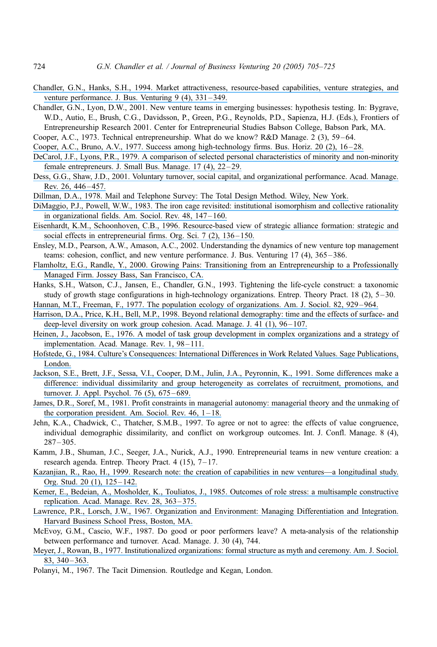- <span id="page-19-0"></span>[Chandler, G.N., Hanks, S.H., 1994. Market attractiveness, resource-based capabilities, venture strategies, and](https://www.researchgate.net/publication/222893726_Market_Attractiveness_Resource-Based_Capabilities_Venture_Strategies_and_Venture_Performance?el=1_x_8&enrichId=rgreq-8e58a7085e5716c1990a65ef208fcaad-XXX&enrichSource=Y292ZXJQYWdlOzIyMjUzODczMztBUzoxMDUwMTc4OTc5MTQzNzFAMTQwMjA0OTYyNjUxMQ==) venture performance. J. Bus. Venturing 9 (4), 331-349.
- Chandler, G.N., Lyon, D.W., 2001. New venture teams in emerging businesses: hypothesis testing. In: Bygrave, W.D., Autio, E., Brush, C.G., Davidsson, P., Green, P.G., Reynolds, P.D., Sapienza, H.J. (Eds.), Frontiers of Entrepreneurship Research 2001. Center for Entrepreneurial Studies Babson College, Babson Park, MA.
- Cooper, A.C., 1973. Technical entrepreneurship. What do we know? R&D Manage. 2 (3), 59–64.
- Cooper, A.C., Bruno, A.V., 1977. Success among high-technology firms. Bus. Horiz. 20 (2), 16–28.
- [DeCarol, J.F., Lyons, P.R., 1979. A comparison of selected personal characteristics of minority and non-minority](https://www.researchgate.net/publication/244954143_A_Comparison_of_Selected_Personal_Characteristics_of_Minority_and_Non-Minority_Female_Entrepreneurs?el=1_x_8&enrichId=rgreq-8e58a7085e5716c1990a65ef208fcaad-XXX&enrichSource=Y292ZXJQYWdlOzIyMjUzODczMztBUzoxMDUwMTc4OTc5MTQzNzFAMTQwMjA0OTYyNjUxMQ==) female entrepreneurs. J. Small Bus. Manage. 17 (4), 22-29.
- [Dess, G.G., Shaw, J.D., 2001. Voluntary turnover, social capital, and organizational performance. Acad. Manage.](https://www.researchgate.net/publication/272581384_Voluntary_Turnover_Social_Capital_and_Organizational_Performance?el=1_x_8&enrichId=rgreq-8e58a7085e5716c1990a65ef208fcaad-XXX&enrichSource=Y292ZXJQYWdlOzIyMjUzODczMztBUzoxMDUwMTc4OTc5MTQzNzFAMTQwMjA0OTYyNjUxMQ==) [Rev. 26, 446 – 457.](https://www.researchgate.net/publication/272581384_Voluntary_Turnover_Social_Capital_and_Organizational_Performance?el=1_x_8&enrichId=rgreq-8e58a7085e5716c1990a65ef208fcaad-XXX&enrichSource=Y292ZXJQYWdlOzIyMjUzODczMztBUzoxMDUwMTc4OTc5MTQzNzFAMTQwMjA0OTYyNjUxMQ==)
- [Dillman, D.A., 1978. Mail and Telephone Survey: The Total Design Method. Wiley, New York.](https://www.researchgate.net/publication/291022894_Mail_and_Telephone_Surveys_The_Total_Design_Method?el=1_x_8&enrichId=rgreq-8e58a7085e5716c1990a65ef208fcaad-XXX&enrichSource=Y292ZXJQYWdlOzIyMjUzODczMztBUzoxMDUwMTc4OTc5MTQzNzFAMTQwMjA0OTYyNjUxMQ==)
- [DiMaggio, P.J., Powell, W.W., 1983. The iron cage revisited: institutional isomorphism and collective rationality](https://www.researchgate.net/publication/255482957_The_Iron_Cage_Revisted_Institutional_Isomorphism_and_Collective_Rationality_in_Organizational_Fields?el=1_x_8&enrichId=rgreq-8e58a7085e5716c1990a65ef208fcaad-XXX&enrichSource=Y292ZXJQYWdlOzIyMjUzODczMztBUzoxMDUwMTc4OTc5MTQzNzFAMTQwMjA0OTYyNjUxMQ==) in organizational fields. Am. Sociol. Rev. 48, 147-160.
- [Eisenhardt, K.M., Schoonhoven, C.B., 1996. Resource-based view of strategic alliance formation: strategic and](https://www.researchgate.net/publication/280800935_Resource-based_View_of_Strategic_Alliance_Formation_Strategic_and_Social_Effects_in_Entrepreneurial_Firms?el=1_x_8&enrichId=rgreq-8e58a7085e5716c1990a65ef208fcaad-XXX&enrichSource=Y292ZXJQYWdlOzIyMjUzODczMztBUzoxMDUwMTc4OTc5MTQzNzFAMTQwMjA0OTYyNjUxMQ==) social effects in entrepreneurial firms. Org. Sci. 7 (2), 136-150.
- Ensley, M.D., Pearson, A.W., Amason, A.C., 2002. Understanding the dynamics of new venture top management teams: cohesion, conflict, and new venture performance. J. Bus. Venturing 17 (4), 365 – 386.
- [Flamholtz, E.G., Randle, Y., 2000. Growing Pains: Transitioning from an Entrepreneurship to a Professionally](https://www.researchgate.net/publication/276009826_How_to_Make_the_Transition_from_an_Entrepreneurship_to_a_Professionally_Managed_Firm?el=1_x_8&enrichId=rgreq-8e58a7085e5716c1990a65ef208fcaad-XXX&enrichSource=Y292ZXJQYWdlOzIyMjUzODczMztBUzoxMDUwMTc4OTc5MTQzNzFAMTQwMjA0OTYyNjUxMQ==) [Managed Firm. Jossey Bass, San Francisco, CA.](https://www.researchgate.net/publication/276009826_How_to_Make_the_Transition_from_an_Entrepreneurship_to_a_Professionally_Managed_Firm?el=1_x_8&enrichId=rgreq-8e58a7085e5716c1990a65ef208fcaad-XXX&enrichSource=Y292ZXJQYWdlOzIyMjUzODczMztBUzoxMDUwMTc4OTc5MTQzNzFAMTQwMjA0OTYyNjUxMQ==)
- Hanks, S.H., Watson, C.J., Jansen, E., Chandler, G.N., 1993. Tightening the life-cycle construct: a taxonomic study of growth stage configurations in high-technology organizations. Entrep. Theory Pract. 18 (2), 5-30.
- [Hannan, M.T., Freeman, F., 1977. The population ecology of organizations. Am. J. Sociol. 82, 929 964.](https://www.researchgate.net/publication/228314106_The_Population_Ecology_of_Public_Organizations?el=1_x_8&enrichId=rgreq-8e58a7085e5716c1990a65ef208fcaad-XXX&enrichSource=Y292ZXJQYWdlOzIyMjUzODczMztBUzoxMDUwMTc4OTc5MTQzNzFAMTQwMjA0OTYyNjUxMQ==)
- [Harrison, D.A., Price, K.H., Bell, M.P., 1998. Beyond relational demography: time and the effects of surface- and](https://www.researchgate.net/publication/275714274_Beyond_relational_demography_Time_and_the_effects_of_surface-_and_deep-level_diversity_on_work_group_cohesion?el=1_x_8&enrichId=rgreq-8e58a7085e5716c1990a65ef208fcaad-XXX&enrichSource=Y292ZXJQYWdlOzIyMjUzODczMztBUzoxMDUwMTc4OTc5MTQzNzFAMTQwMjA0OTYyNjUxMQ==) deep-level diversity on work group cohesion. Acad. Manage. J. 41 (1), 96-107.
- [Heinen, J., Jacobson, E., 1976. A model of task group development in complex organizations and a strategy of](https://www.researchgate.net/publication/274227849_A_Model_of_Task_Group_Development_in_Complex_Organizations_and_a_Strategy_of_Implementation?el=1_x_8&enrichId=rgreq-8e58a7085e5716c1990a65ef208fcaad-XXX&enrichSource=Y292ZXJQYWdlOzIyMjUzODczMztBUzoxMDUwMTc4OTc5MTQzNzFAMTQwMjA0OTYyNjUxMQ==) implementation. Acad. Manage. Rev. 1, 98-111.
- [Hofstede, G., 1984. Culture's Consequences: International Differences in Work Related Values. Sage Publications,](https://www.researchgate.net/publication/201381901_Culture) [London.](https://www.researchgate.net/publication/201381901_Culture)
- [Jackson, S.E., Brett, J.F., Sessa, V.I., Cooper, D.M., Julin, J.A., Peyronnin, K., 1991. Some differences make a](https://www.researchgate.net/publication/232477749_Some_Differences_Make_a_Difference_Individual_Dissimilarity_and_Group_Heterogeneity_as_Correlates_of_Recruitment_Promotions_and_Turnover?el=1_x_8&enrichId=rgreq-8e58a7085e5716c1990a65ef208fcaad-XXX&enrichSource=Y292ZXJQYWdlOzIyMjUzODczMztBUzoxMDUwMTc4OTc5MTQzNzFAMTQwMjA0OTYyNjUxMQ==) [difference: individual dissimilarity and group heterogeneity as correlates of recruitment, promotions, and](https://www.researchgate.net/publication/232477749_Some_Differences_Make_a_Difference_Individual_Dissimilarity_and_Group_Heterogeneity_as_Correlates_of_Recruitment_Promotions_and_Turnover?el=1_x_8&enrichId=rgreq-8e58a7085e5716c1990a65ef208fcaad-XXX&enrichSource=Y292ZXJQYWdlOzIyMjUzODczMztBUzoxMDUwMTc4OTc5MTQzNzFAMTQwMjA0OTYyNjUxMQ==) [turnover. J. Appl. Psychol. 76 \(5\), 675 – 689.](https://www.researchgate.net/publication/232477749_Some_Differences_Make_a_Difference_Individual_Dissimilarity_and_Group_Heterogeneity_as_Correlates_of_Recruitment_Promotions_and_Turnover?el=1_x_8&enrichId=rgreq-8e58a7085e5716c1990a65ef208fcaad-XXX&enrichSource=Y292ZXJQYWdlOzIyMjUzODczMztBUzoxMDUwMTc4OTc5MTQzNzFAMTQwMjA0OTYyNjUxMQ==)
- [James, D.R., Soref, M., 1981. Profit constraints in managerial autonomy: managerial theory and the unmaking of](https://www.researchgate.net/publication/271748197_Profit_Constraints_on_Managerial_Autonomy_Managerial_Theory_and_the_Unmaking_of_the_Corporation_President?el=1_x_8&enrichId=rgreq-8e58a7085e5716c1990a65ef208fcaad-XXX&enrichSource=Y292ZXJQYWdlOzIyMjUzODczMztBUzoxMDUwMTc4OTc5MTQzNzFAMTQwMjA0OTYyNjUxMQ==) the corporation president. Am. Sociol. Rev.  $46$ ,  $1-18$ .
- Jehn, K.A., Chadwick, C., Thatcher, S.M.B., 1997. To agree or not to agree: the effects of value congruence, individual demographic dissimilarity, and conflict on workgroup outcomes. Int. J. Confl. Manage. 8 (4),  $287 - 305$ .
- Kamm, J.B., Shuman, J.C., Seeger, J.A., Nurick, A.J., 1990. Entrepreneurial teams in new venture creation: a research agenda. Entrep. Theory Pract.  $4(15)$ ,  $7-17$ .
- [Kazanjian, R., Rao, H., 1999. Research note: the creation of capabilities in new ventures—a longitudinal study.](https://www.researchgate.net/publication/247734286_Research_Note_The_Creation_of_Capabilities_in_New_Ventures--A_Longitudinal_Study?el=1_x_8&enrichId=rgreq-8e58a7085e5716c1990a65ef208fcaad-XXX&enrichSource=Y292ZXJQYWdlOzIyMjUzODczMztBUzoxMDUwMTc4OTc5MTQzNzFAMTQwMjA0OTYyNjUxMQ==) Org. Stud. 20 (1), 125-142.
- [Kemer, E., Bedeian, A., Mosholder, K., Touliatos, J., 1985. Outcomes of role stress: a multisample constructive](https://www.researchgate.net/publication/13026761_Outcomes_of_role_stress_A_multisample_constructive_replication?el=1_x_8&enrichId=rgreq-8e58a7085e5716c1990a65ef208fcaad-XXX&enrichSource=Y292ZXJQYWdlOzIyMjUzODczMztBUzoxMDUwMTc4OTc5MTQzNzFAMTQwMjA0OTYyNjUxMQ==) [replication. Acad. Manage. Rev. 28, 363 – 375.](https://www.researchgate.net/publication/13026761_Outcomes_of_role_stress_A_multisample_constructive_replication?el=1_x_8&enrichId=rgreq-8e58a7085e5716c1990a65ef208fcaad-XXX&enrichSource=Y292ZXJQYWdlOzIyMjUzODczMztBUzoxMDUwMTc4OTc5MTQzNzFAMTQwMjA0OTYyNjUxMQ==)
- [Lawrence, P.R., Lorsch, J.W., 1967. Organization and Environment: Managing Differentiation and Integration.](https://www.researchgate.net/publication/239650471_Organization_and_Environment_Managing_Differentiation_and_Integration?el=1_x_8&enrichId=rgreq-8e58a7085e5716c1990a65ef208fcaad-XXX&enrichSource=Y292ZXJQYWdlOzIyMjUzODczMztBUzoxMDUwMTc4OTc5MTQzNzFAMTQwMjA0OTYyNjUxMQ==) [Harvard Business School Press, Boston, MA.](https://www.researchgate.net/publication/239650471_Organization_and_Environment_Managing_Differentiation_and_Integration?el=1_x_8&enrichId=rgreq-8e58a7085e5716c1990a65ef208fcaad-XXX&enrichSource=Y292ZXJQYWdlOzIyMjUzODczMztBUzoxMDUwMTc4OTc5MTQzNzFAMTQwMjA0OTYyNjUxMQ==)
- McEvoy, G.M., Cascio, W.F., 1987. Do good or poor performers leave? A meta-analysis of the relationship between performance and turnover. Acad. Manage. J. 30 (4), 744.
- [Meyer, J., Rowan, B., 1977. Institutionalized organizations: formal structure as myth and ceremony. Am. J. Sociol.](https://www.researchgate.net/publication/281453343_Institutionalized_organizations_Formal_structure_as_myth_and_ceremony?el=1_x_8&enrichId=rgreq-8e58a7085e5716c1990a65ef208fcaad-XXX&enrichSource=Y292ZXJQYWdlOzIyMjUzODczMztBUzoxMDUwMTc4OTc5MTQzNzFAMTQwMjA0OTYyNjUxMQ==)  $83, 340 - 363.$
- Polanyi, M., 1967. The Tacit Dimension. Routledge and Kegan, London.